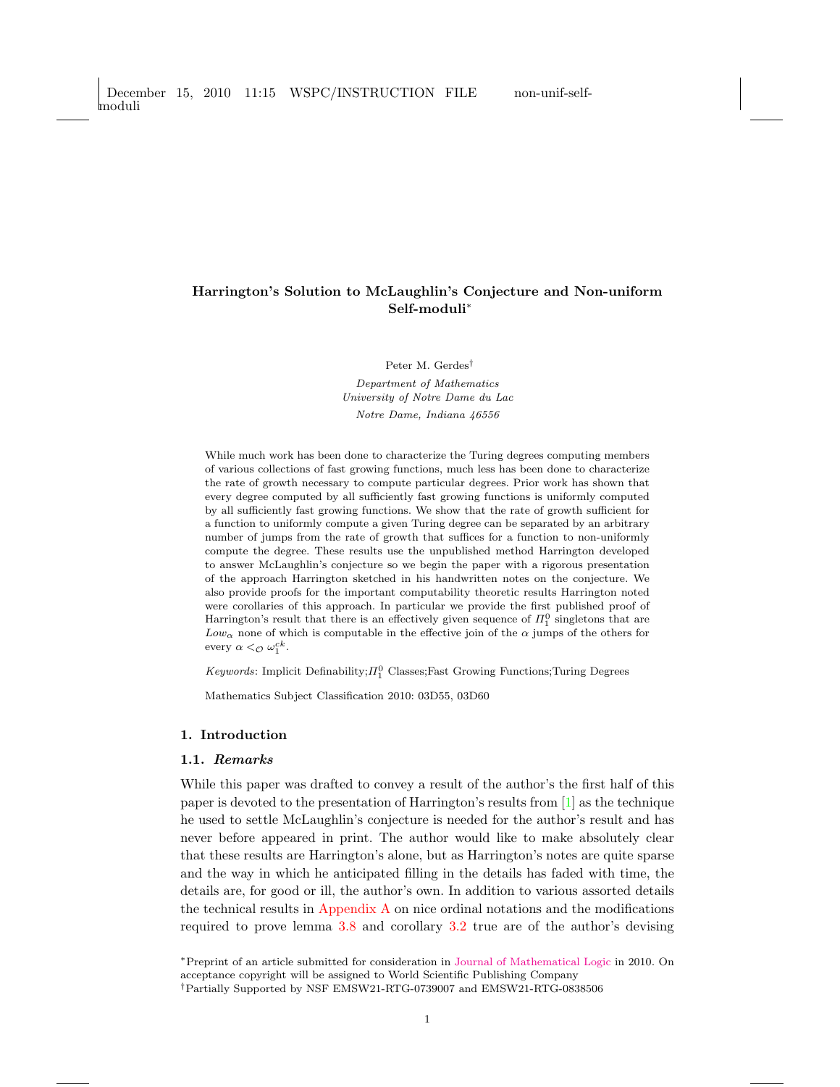# Harrington's Solution to McLaughlin's Conjecture and Non-uniform Self-moduli\*

Peter M. Gerdes†

Department of Mathematics University of Notre Dame du Lac Notre Dame, Indiana 46556

While much work has been done to characterize the Turing degrees computing members of various collections of fast growing functions, much less has been done to characterize the rate of growth necessary to compute particular degrees. Prior work has shown that every degree computed by all sufficiently fast growing functions is uniformly computed by all sufficiently fast growing functions. We show that the rate of growth sufficient for a function to uniformly compute a given Turing degree can be separated by an arbitrary number of jumps from the rate of growth that suffices for a function to non-uniformly compute the degree. These results use the unpublished method Harrington developed to answer McLaughlin's conjecture so we begin the paper with a rigorous presentation of the approach Harrington sketched in his handwritten notes on the conjecture. We also provide proofs for the important computability theoretic results Harrington noted were corollaries of this approach. In particular we provide the first published proof of Harrington's result that there is an effectively given sequence of  $\Pi_1^0$  singletons that are  $Low_{\alpha}$  none of which is computable in the effective join of the  $\alpha$  jumps of the others for every  $\alpha <_{\mathcal{O}} \omega_1^{ck}$ .

 $Keywords:$  Implicit Definability;  $\Pi_1^0$  Classes; Fast Growing Functions; Turing Degrees

Mathematics Subject Classification 2010: 03D55, 03D60

## 1. Introduction

# 1.1. Remarks

While this paper was drafted to convey a result of the author's the first half of this paper is devoted to the presentation of Harrington's results from [\[1\]](#page-25-0) as the technique he used to settle McLaughlin's conjecture is needed for the author's result and has never before appeared in print. The author would like to make absolutely clear that these results are Harrington's alone, but as Harrington's notes are quite sparse and the way in which he anticipated filling in the details has faded with time, the details are, for good or ill, the author's own. In addition to various assorted details the technical results in [Appendix A](#page-23-0) on nice ordinal notations and the modifications required to prove lemma [3.8](#page-11-0) and corollary [3.2](#page-14-0) true are of the author's devising

\*Preprint of an article submitted for consideration in [Journal of Mathematical Logic](http://www.worldscinet.com/jml/) in 2010. On acceptance copyright will be assigned to World Scientific Publishing Company †Partially Supported by NSF EMSW21-RTG-0739007 and EMSW21-RTG-0838506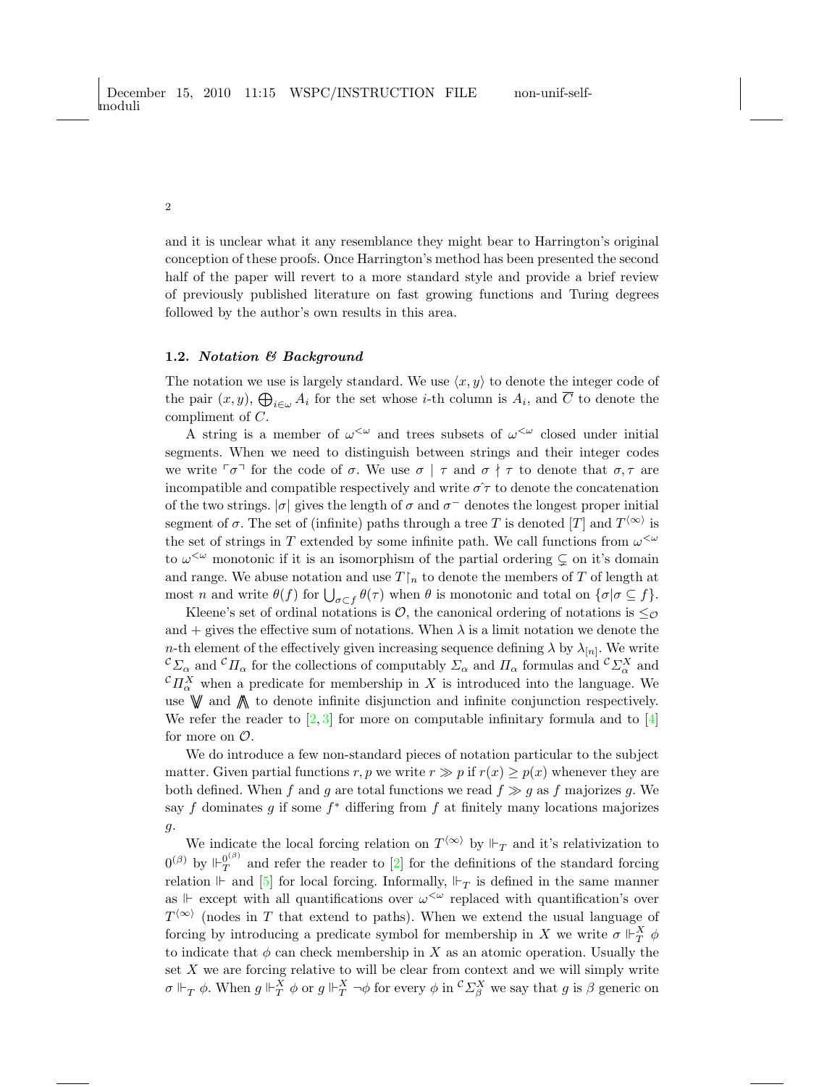and it is unclear what it any resemblance they might bear to Harrington's original conception of these proofs. Once Harrington's method has been presented the second half of the paper will revert to a more standard style and provide a brief review of previously published literature on fast growing functions and Turing degrees followed by the author's own results in this area.

### 1.2. Notation & Background

2

The notation we use is largely standard. We use  $\langle x, y \rangle$  to denote the integer code of the pair  $(x, y)$ ,  $\bigoplus_{i \in \omega} A_i$  for the set whose *i*-th column is  $A_i$ , and  $\overline{C}$  to denote the compliment of  $C$ .

A string is a member of  $\omega^{\leq \omega}$  and trees subsets of  $\omega^{\leq \omega}$  closed under initial segments. When we need to distinguish between strings and their integer codes we write  $\lceil \sigma \rceil$  for the code of  $\sigma$ . We use  $\sigma \mid \tau$  and  $\sigma \nmid \tau$  to denote that  $\sigma, \tau$  are incompatible and compatible respectively and write  $\sigma\tau$  to denote the concatenation of the two strings.  $|\sigma|$  gives the length of  $\sigma$  and  $\sigma^-$  denotes the longest proper initial segment of  $\sigma$ . The set of (infinite) paths through a tree T is denoted [T] and  $T^{\langle \infty \rangle}$  is the set of strings in T extended by some infinite path. We call functions from  $\omega^{\lt}\omega$ to  $\omega^{<\omega}$  monotonic if it is an isomorphism of the partial ordering  $\subsetneq$  on it's domain and range. We abuse notation and use  $T\upharpoonright_n$  to denote the members of T of length at most *n* and write  $\theta(f)$  for  $\bigcup_{\sigma \subset f} \theta(\tau)$  when  $\theta$  is monotonic and total on  $\{\sigma | \sigma \subseteq f\}$ .

Kleene's set of ordinal notations is  $\mathcal{O}$ , the canonical ordering of notations is  $\leq_{\mathcal{O}}$ and  $+$  gives the effective sum of notations. When  $\lambda$  is a limit notation we denote the *n*-th element of the effectively given increasing sequence defining  $\lambda$  by  $\lambda_{[n]}$ . We write  ${}^{\mathcal{C}}\Sigma_{\alpha}$  and  ${}^{\mathcal{C}}\Pi_{\alpha}$  for the collections of computably  $\Sigma_{\alpha}$  and  $\Pi_{\alpha}$  formulas and  ${}^{\mathcal{C}}\Sigma_{\alpha}^X$  and  ${}^{\mathcal{C}}\Pi^X_\alpha$  when a predicate for membership in X is introduced into the language. We use  $\not\!\!\!\nabla$  and  $\not\!\!\!\nabla$  to denote infinite disjunction and infinite conjunction respectively. We refer the reader to  $\left[2,3\right]$  $\left[2,3\right]$  $\left[2,3\right]$  for more on computable infinitary formula and to  $\left[4\right]$ for more on  $\mathcal{O}$ .

We do introduce a few non-standard pieces of notation particular to the subject matter. Given partial functions r, p we write  $r \gg p$  if  $r(x) \geq p(x)$  whenever they are both defined. When f and g are total functions we read  $f \gg g$  as f majorizes g. We say  $f$  dominates  $g$  if some  $f^*$  differing from  $f$  at finitely many locations majorizes .

We indicate the local forcing relation on  $T^{\langle \infty \rangle}$  by  $\Vdash_T$  and it's relativization to  $0^{(\beta)}$  by  $\mathbb{H}_T^{0^{(\beta)}}$  and refer the reader to [\[2\]](#page-26-0) for the definitions of the standard forcing relation  $\mathbb{H}$  and [\[5\]](#page-26-3) for local forcing. Informally,  $\mathbb{H}_T$  is defined in the same manner as  $\mathbb{F}$  except with all quantifications over  $\omega^{\leq \omega}$  replaced with quantification's over  $T^{\langle\infty\rangle}$  (nodes in T that extend to paths). When we extend the usual language of forcing by introducing a predicate symbol for membership in X we write  $\sigma \Vdash^X_T \phi$ to indicate that  $\phi$  can check membership in X as an atomic operation. Usually the set  $X$  we are forcing relative to will be clear from context and we will simply write  $\sigma \Vdash_{T} \phi$ . When  $g \Vdash_{T}^{X} \phi$  or  $g \Vdash_{T}^{X} \neg \phi$  for every  $\phi$  in  ${}^{\mathcal{C}}\Sigma_{\beta}^{X}$  we say that  $g$  is  $\beta$  generic on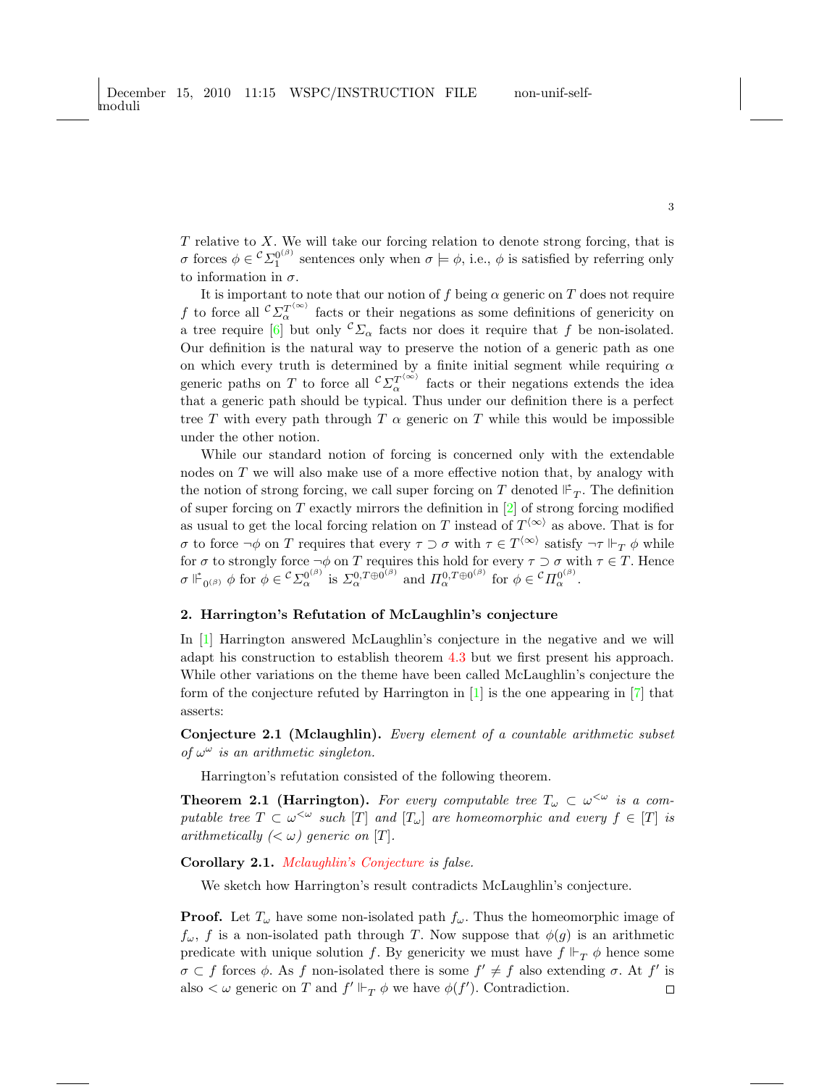$T$  relative to  $X$ . We will take our forcing relation to denote strong forcing, that is  $\sigma$  forces  $\phi \in {}^c\Sigma_1^{0^{(\beta)}}$  sentences only when  $\sigma \models \phi$ , i.e.,  $\phi$  is satisfied by referring only to information in  $\sigma$ .

It is important to note that our notion of  $f$  being  $\alpha$  generic on  $T$  does not require f to force all  ${}^{\mathcal{C}}\Sigma^{T^{(\infty)}}$  facts or their negations as some definitions of genericity on a tree require [\[6\]](#page-26-4) but only  ${}^{\mathcal{C}}\Sigma_{\alpha}$  facts nor does it require that f be non-isolated. Our definition is the natural way to preserve the notion of a generic path as one on which every truth is determined by a finite initial segment while requiring  $\alpha$ generic paths on T to force all  ${}^{\mathcal{C}}\Sigma^{T<sup>(\infty)</sup>}_{\alpha}$  facts or their negations extends the idea that a generic path should be typical. Thus under our definition there is a perfect tree T with every path through  $T \alpha$  generic on T while this would be impossible under the other notion.

While our standard notion of forcing is concerned only with the extendable nodes on  $T$  we will also make use of a more effective notion that, by analogy with the notion of strong forcing, we call super forcing on  $T$  denoted  $\mathbb{I}^*_{T}$ . The definition of super forcing on  $T$  exactly mirrors the definition in  $[2]$  of strong forcing modified as usual to get the local forcing relation on T instead of  $T^{\langle \infty \rangle}$  as above. That is for  $\sigma$  to force  $\neg \phi$  on  $T$  requires that every  $\tau \supset \sigma$  with  $\tau \in T^{\langle \infty \rangle}$  satisfy  $\neg \tau \Vdash_T \phi$  while for  $\sigma$  to strongly force  $\neg \phi$  on  $T$  requires this hold for every  $\tau \supset \sigma$  with  $\tau \in T$ . Hence  $\sigma \Vdash_{0^{(\beta)}} \phi$  for  $\phi \in {}^{\mathcal{C}}\mathcal{L}_{\alpha}^{0^{(\beta)}}$  is  $\Sigma_{\alpha}^{0,T\oplus 0^{(\beta)}}$  and  $\Pi_{\alpha}^{0,T\oplus 0^{(\beta)}}$  for  $\phi \in {}^{\mathcal{C}}\Pi_{\alpha}^{0^{(\beta)}}$ .

#### 2. Harrington's Refutation of McLaughlin's conjecture

In [\[1\]](#page-25-0) Harrington answered McLaughlin's conjecture in the negative and we will adapt his construction to establish theorem [4.3](#page-18-0) but we first present his approach. While other variations on the theme have been called McLaughlin's conjecture the form of the conjecture refuted by Harrington in  $[1]$  is the one appearing in  $[7]$  that asserts:

<span id="page-2-0"></span>Conjecture 2.1 (Mclaughlin). Every element of a countable arithmetic subset of  $\omega^{\omega}$  is an arithmetic singleton.

Harrington's refutation consisted of the following theorem.

<span id="page-2-1"></span>**Theorem 2.1 (Harrington).** For every computable tree  $T_{\omega} \subset \omega^{\langle \omega \rangle}$  is a computable tree  $T \subset \omega^{\leq \omega}$  such  $[T]$  and  $[T_{\omega}]$  are homeomorphic and every  $f \in [T]$  is arithmetically  $( $\omega$ ) generic on [T].$ 

<span id="page-2-2"></span>Corollary 2.1. [Mclaughlin's Conjecture](#page-2-0) is false.

We sketch how Harrington's result contradicts McLaughlin's conjecture.

**Proof.** Let  $T_{\omega}$  have some non-isolated path  $f_{\omega}$ . Thus the homeomorphic image of  $f_{\omega}$ , f is a non-isolated path through T. Now suppose that  $\phi(g)$  is an arithmetic predicate with unique solution f. By genericity we must have  $f \Vdash_{\mathcal{T}} \phi$  hence some  $\sigma \subset f$  forces  $\phi$ . As f non-isolated there is some  $f' \neq f$  also extending  $\sigma$ . At f' is also  $\lt \omega$  generic on T and  $f' \Vdash_T \phi$  we have  $\phi(f')$ . Contradiction.  $\Box$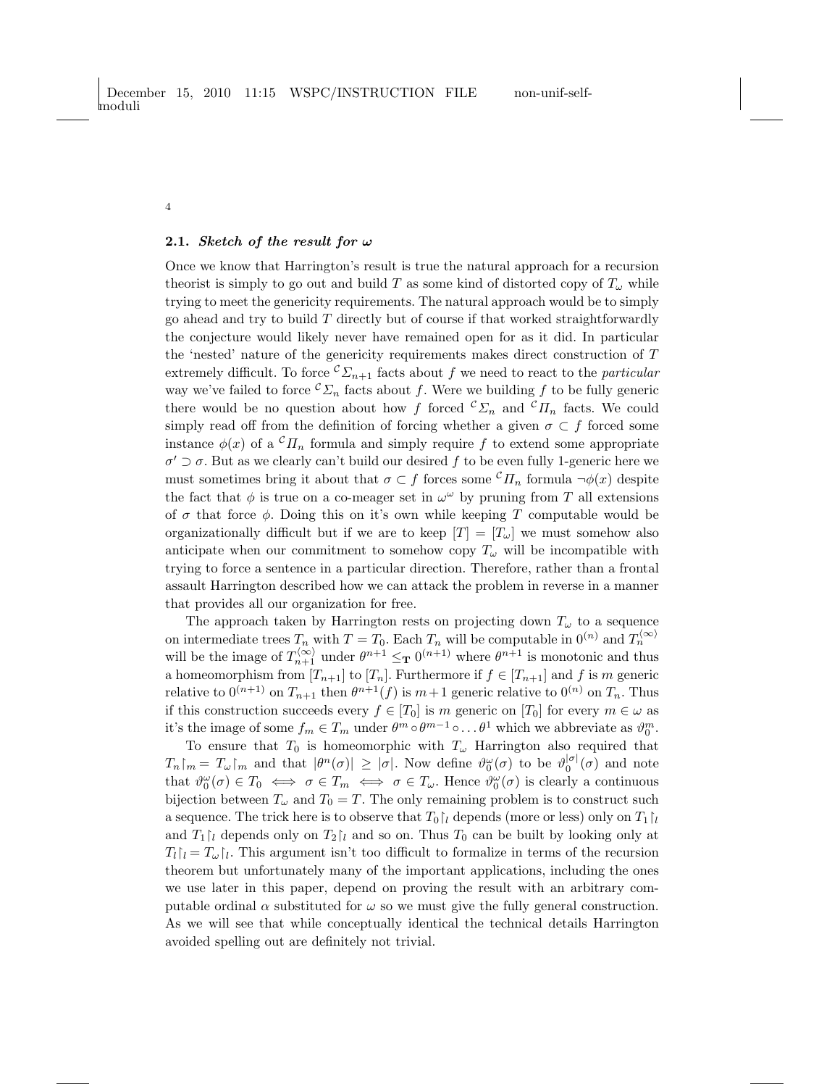# 2.1. Sketch of the result for  $\omega$

4

Once we know that Harrington's result is true the natural approach for a recursion theorist is simply to go out and build T as some kind of distorted copy of  $T_{\omega}$  while trying to meet the genericity requirements. The natural approach would be to simply go ahead and try to build  $T$  directly but of course if that worked straightforwardly the conjecture would likely never have remained open for as it did. In particular the 'nested' nature of the genericity requirements makes direct construction of  $T$ extremely difficult. To force  ${}^{\mathcal{C}}\Sigma_{n+1}$  facts about f we need to react to the particular way we've failed to force  ${}^{\mathcal{C}}\Sigma_n$  facts about f. Were we building f to be fully generic there would be no question about how f forced  ${}^{\mathcal{C}}\Sigma_n$  and  ${}^{\mathcal{C}}\Pi_n$  facts. We could simply read off from the definition of forcing whether a given  $\sigma \subset f$  forced some instance  $\phi(x)$  of a  ${}^c\Pi_n$  formula and simply require f to extend some appropriate  $\sigma' \supset \sigma$ . But as we clearly can't build our desired f to be even fully 1-generic here we must sometimes bring it about that  $\sigma \subset f$  forces some  ${}^{\mathcal{C}}\Pi_n$  formula  $\neg \phi(x)$  despite the fact that  $\phi$  is true on a co-meager set in  $\omega^{\omega}$  by pruning from T all extensions of  $\sigma$  that force  $\phi$ . Doing this on it's own while keeping T computable would be organizationally difficult but if we are to keep  $|T| = |T_{\omega}|$  we must somehow also anticipate when our commitment to somehow copy  $T_{\omega}$  will be incompatible with trying to force a sentence in a particular direction. Therefore, rather than a frontal assault Harrington described how we can attack the problem in reverse in a manner that provides all our organization for free.

The approach taken by Harrington rests on projecting down  $T_{\omega}$  to a sequence on intermediate trees  $T_n$  with  $T = T_0$ . Each  $T_n$  will be computable in  $0^{(n)}$  and  $T_n^{(\infty)}$ will be the image of  $T_{n+1}^{(\infty)}$  under  $\theta^{n+1} \leq_T 0^{(n+1)}$  where  $\theta^{n+1}$  is monotonic and thus a homeomorphism from  $[T_{n+1}]$  to  $[T_n]$ . Furthermore if  $f \in [T_{n+1}]$  and f is m generic relative to  $0^{(n+1)}$  on  $T_{n+1}$  then  $\theta^{n+1}(f)$  is  $m+1$  generic relative to  $0^{(n)}$  on  $T_n$ . Thus if this construction succeeds every  $f \in [T_0]$  is m generic on  $[T_0]$  for every  $m \in \omega$  as it's the image of some  $f_m \in T_m$  under  $\theta^m \circ \theta^{m-1} \circ \dots \theta^1$  which we abbreviate as  $\vartheta_0^m$ .

To ensure that  $T_0$  is homeomorphic with  $T_\omega$  Harrington also required that  $T_n\lceil_m = T_\omega\rceil_m$  and that  $|\theta^n(\sigma)| \geq |\sigma|$ . Now define  $\vartheta_0^{\omega}(\sigma)$  to be  $\vartheta_0^{|\sigma|}(\sigma)$  and note that  $\vartheta_0^{\omega}(\sigma) \in T_0 \iff \sigma \in T_m \iff \sigma \in T_{\omega}$ . Hence  $\vartheta_0^{\omega}(\sigma)$  is clearly a continuous bijection between  $T_{\omega}$  and  $T_0 = T$ . The only remaining problem is to construct such a sequence. The trick here is to observe that  $T_0 \upharpoonright_l$  depends (more or less) only on  $T_1 \upharpoonright_l$ and  $T_1\vert_l$  depends only on  $T_2\vert_l$  and so on. Thus  $T_0$  can be built by looking only at  $T_l\hat{z}_l = T_\omega\hat{z}_l$ . This argument isn't too difficult to formalize in terms of the recursion theorem but unfortunately many of the important applications, including the ones we use later in this paper, depend on proving the result with an arbitrary computable ordinal  $\alpha$  substituted for  $\omega$  so we must give the fully general construction. As we will see that while conceptually identical the technical details Harrington avoided spelling out are definitely not trivial.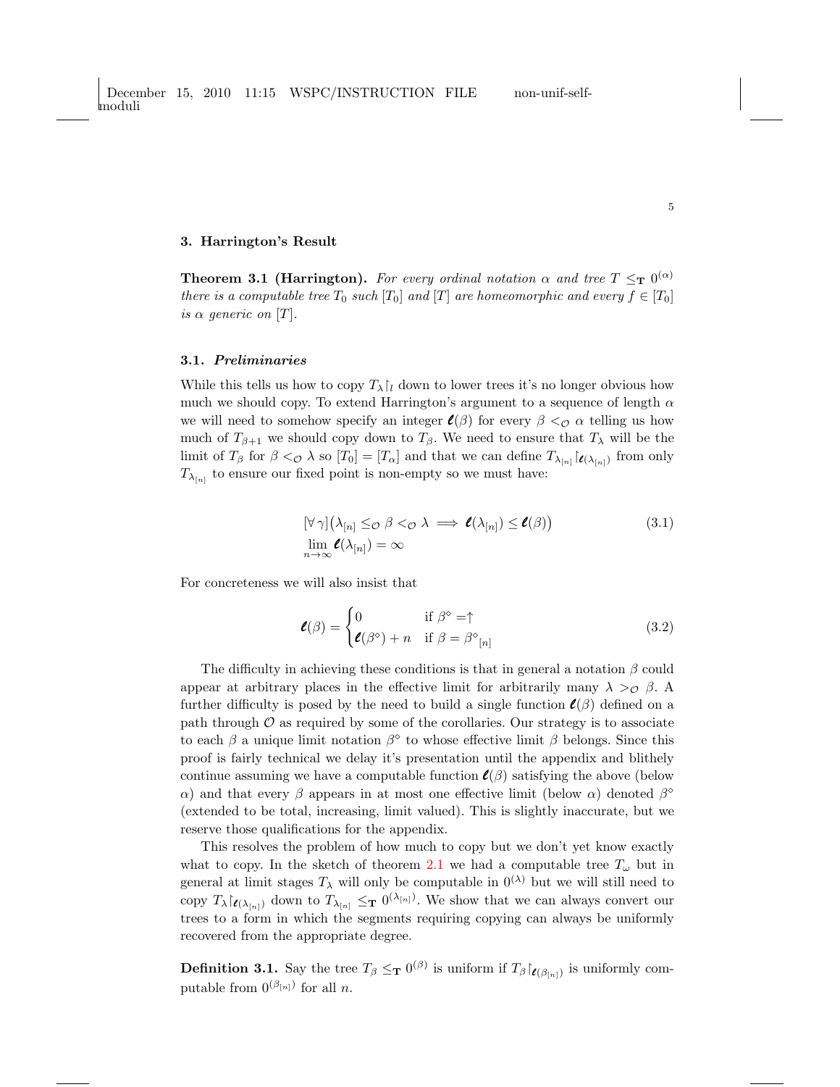### 3. Harrington's Result

<span id="page-4-2"></span>**Theorem 3.1 (Harrington).** For every ordinal notation  $\alpha$  and tree  $T \leq_T 0^{(\alpha)}$ there is a computable tree  $T_0$  such  $[T_0]$  and  $[T]$  are homeomorphic and every  $f \in [T_0]$ is  $\alpha$  generic on [T].

# 3.1. Preliminaries

While this tells us how to copy  $T_{\lambda}|_l$  down to lower trees it's no longer obvious how much we should copy. To extend Harrington's argument to a sequence of length  $\alpha$ we will need to somehow specify an integer  $\ell(\beta)$  for every  $\beta <_{\mathcal{O}} \alpha$  telling us how much of  $T_{\beta+1}$  we should copy down to  $T_{\beta}$ . We need to ensure that  $T_{\lambda}$  will be the limit of  $T_\beta$  for  $\beta <_{\mathcal{O}} \lambda$  so  $[T_0] = [T_\alpha]$  and that we can define  $T_{\lambda_{[n]}}$   $\mathcal{U}(\lambda_{[n]})$  from only  $T_{\lambda_{[n]}}$  to ensure our fixed point is non-empty so we must have:

<span id="page-4-1"></span>
$$
[\forall \gamma] (\lambda_{[n]} \leq_{\mathcal{O}} \beta <_{\mathcal{O}} \lambda \implies \ell(\lambda_{[n]}) \leq \ell(\beta))
$$
\n
$$
\lim_{n \to \infty} \ell(\lambda_{[n]}) = \infty
$$
\n
$$
(3.1)
$$

For concreteness we will also insist that

<span id="page-4-0"></span>
$$
\ell(\beta) = \begin{cases} 0 & \text{if } \beta^{\diamond} = \uparrow \\ \ell(\beta^{\diamond}) + n & \text{if } \beta = \beta^{\diamond}[n] \end{cases}
$$
 (3.2)

The difficulty in achieving these conditions is that in general a notation  $\beta$  could appear at arbitrary places in the effective limit for arbitrarily many  $\lambda >_{\mathcal{O}} \beta$ . further difficulty is posed by the need to build a single function  $\ell(\beta)$  defined on a path through  $\mathcal O$  as required by some of the corollaries. Our strategy is to associate to each  $\beta$  a unique limit notation  $\beta^{\circ}$  to whose effective limit  $\beta$  belongs. Since this proof is fairly technical we delay it's presentation until the appendix and blithely continue assuming we have a computable function  $\ell(\beta)$  satisfying the above (below  $\alpha$ ) and that every  $\beta$  appears in at most one effective limit (below  $\alpha$ ) denoted  $\beta^{\circ}$ (extended to be total, increasing, limit valued). This is slightly inaccurate, but we reserve those qualifications for the appendix.

This resolves the problem of how much to copy but we don't yet know exactly what to copy. In the sketch of theorem [2.1](#page-2-1) we had a computable tree  $T_{\omega}$  but in general at limit stages  $T_{\lambda}$  will only be computable in  $0^{(\lambda)}$  but we will still need to copy  $T_{\lambda}|_{\ell(\lambda_{[n]})}$  down to  $T_{\lambda_{[n]}} \leq_T 0^{(\lambda_{[n]})}$ . We show that we can always convert our trees to a form in which the segments requiring copying can always be uniformly recovered from the appropriate degree.

**Definition 3.1.** Say the tree  $T_\beta \leq_T 0^{(\beta)}$  is uniform if  $T_\beta|_{\ell(\beta_{[n]})}$  is uniformly computable from  $0^{(\beta_{[n]})}$  for all *n*.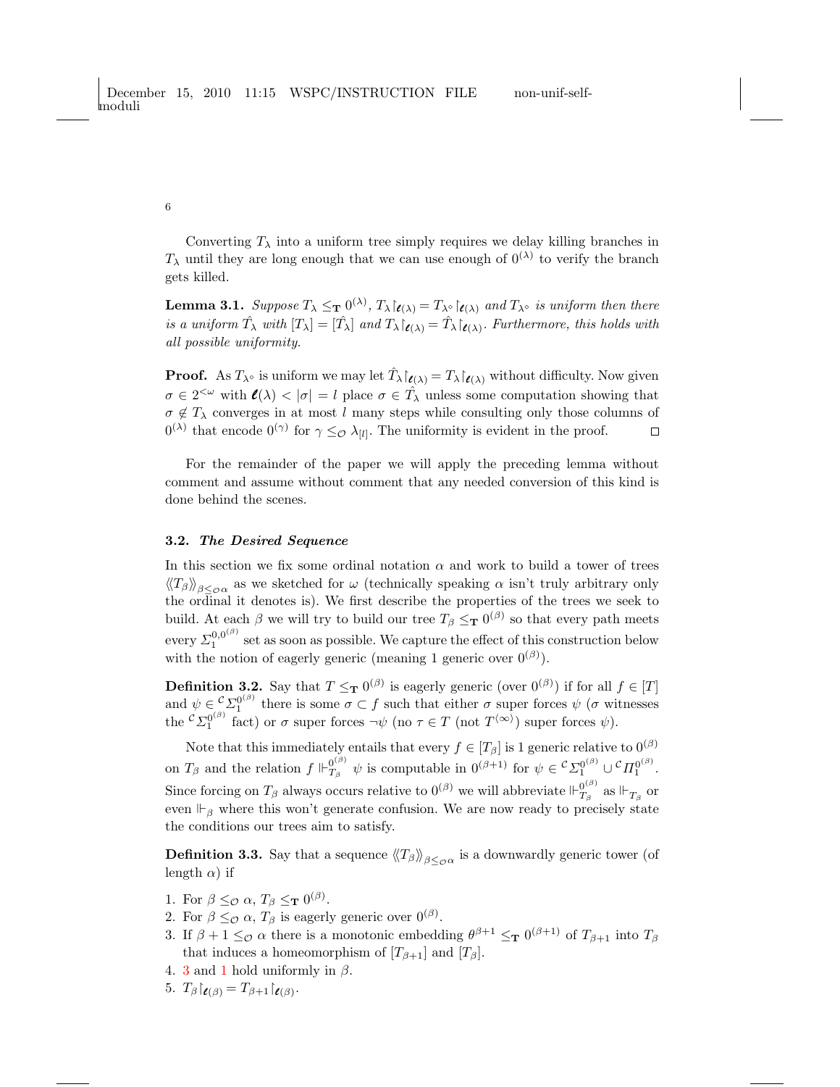Converting  $T_{\lambda}$  into a uniform tree simply requires we delay killing branches in  $T_{\lambda}$  until they are long enough that we can use enough of  $0^{(\lambda)}$  to verify the branch gets killed.

<span id="page-5-2"></span>**Lemma 3.1.** Suppose  $T_{\lambda} \leq_T 0^{(\lambda)}$ ,  $T_{\lambda} \upharpoonright_{\ell(\lambda)} = T_{\lambda} \circ \upharpoonright_{\ell(\lambda)}$  and  $T_{\lambda} \circ$  is uniform then there is a uniform  $\hat{T}_{\lambda}$  with  $[T_{\lambda}] = [\hat{T}_{\lambda}]$  and  $T_{\lambda}|_{\ell(\lambda)} = \hat{T}_{\lambda}|_{\ell(\lambda)}$ . Furthermore, this holds with all possible uniformity.

**Proof.** As  $T_{\lambda} \circ$  is uniform we may let  $\hat{T}_{\lambda}|_{\ell(\lambda)} = T_{\lambda}|_{\ell(\lambda)}$  without difficulty. Now given  $\sigma \in 2^{<\omega}$  with  $\ell(\lambda) < |\sigma| = l$  place  $\sigma \in \hat{T}_{\lambda}$  unless some computation showing that  $\sigma \notin T_\lambda$  converges in at most *l* many steps while consulting only those columns of  $0^{(\lambda)}$  that encode  $0^{(\gamma)}$  for  $\gamma \leq_{\mathcal{O}} \lambda_{[l]}$ . The uniformity is evident in the proof.  $\Box$ 

For the remainder of the paper we will apply the preceding lemma without comment and assume without comment that any needed conversion of this kind is done behind the scenes.

# 3.2. The Desired Sequence

In this section we fix some ordinal notation  $\alpha$  and work to build a tower of trees  $\langle\!\langle T_\beta\rangle\!\rangle_{\beta\leq{}_O\alpha}$  as we sketched for  $\omega$  (technically speaking  $\alpha$  isn't truly arbitrary only the ordinal it denotes is). We first describe the properties of the trees we seek to build. At each  $\beta$  we will try to build our tree  $T_{\beta} \leq_T 0^{(\beta)}$  so that every path meets every  $\varSigma_1^{0,0^{(\beta)}}$  $1<sup>0,0<sup>k</sup></sup>$  set as soon as possible. We capture the effect of this construction below with the notion of eagerly generic (meaning 1 generic over  $0^{(\beta)}$ ).

<span id="page-5-3"></span>**Definition 3.2.** Say that  $T \leq_T 0^{(\beta)}$  is eagerly generic (over  $0^{(\beta)}$ ) if for all  $f \in [T]$ and  $\psi \in {\cal L}^{{\cal O}^{(0)}}_2$  there is some  $\sigma \subset f$  such that either  $\sigma$  super forces  $\psi$  ( $\sigma$  witnesses the  ${}^{\mathcal{C}}\Sigma_1^{0^{(\beta)}}$  fact) or  $\sigma$  super forces  $\neg\psi$  (no  $\tau \in T$  (not  $T^{(\infty)}$ ) super forces  $\psi$ ).

Note that this immediately entails that every  $f \in [T_\beta]$  is 1 generic relative to  $0^{(\beta)}$ on  $T_\beta$  and the relation  $f \Vdash^{\,0^{(\beta)}}_{T_\beta}$  $\int_{T_\beta}^{0^{(\beta)}} \psi$  is computable in  $0^{(\beta+1)}$  for  $\psi \in {}^c\Sigma_1^{0^{(\beta)}} \cup {}^c\Pi_1^{0^{(\beta)}}$ . Since forcing on  $T_\beta$  always occurs relative to  $0^{(\beta)}$  we will abbreviate  $\mathbb{H}_{T_\beta}^{\mathbb{O}^{(\beta)}}$  $\frac{0^{(\beta)}}{T_{\beta}}$  as  $\Vdash_{T_{\beta}}$  or even  $\mathbb{F}_\beta$  where this won't generate confusion. We are now ready to precisely state the conditions our trees aim to satisfy.

<span id="page-5-1"></span>**Definition 3.3.** Say that a sequence  $\langle T_{\beta} \rangle_{\beta \leq \alpha}$  is a downwardly generic tower (of length  $\alpha$ ) if

- <span id="page-5-0"></span>1. For  $\beta \leq_{\mathcal{O}} \alpha$ ,  $T_{\beta} \leq_{\mathbf{T}} 0^{(\beta)}$ .
- 2. For  $\beta \leq_{\mathcal{O}} \alpha$ ,  $T_{\beta}$  is eagerly generic over  $0^{(\beta)}$ .
- 3. If  $\beta + 1 \leq_{\mathcal{O}} \alpha$  there is a monotonic embedding  $\theta^{\beta+1} \leq_{\mathbf{T}} 0^{(\beta+1)}$  of  $T_{\beta+1}$  into  $T_{\beta}$ that induces a homeomorphism of  $[T_{\beta+1}]$  and  $[T_{\beta}].$
- 4. [3](#page-5-0) and [1](#page-5-0) hold uniformly in  $\beta$ .
- 5.  $T_{\beta}$   $\left[\mathbf{e}(\beta)\right] = T_{\beta+1}$   $\left[\mathbf{e}(\beta)\right]$ .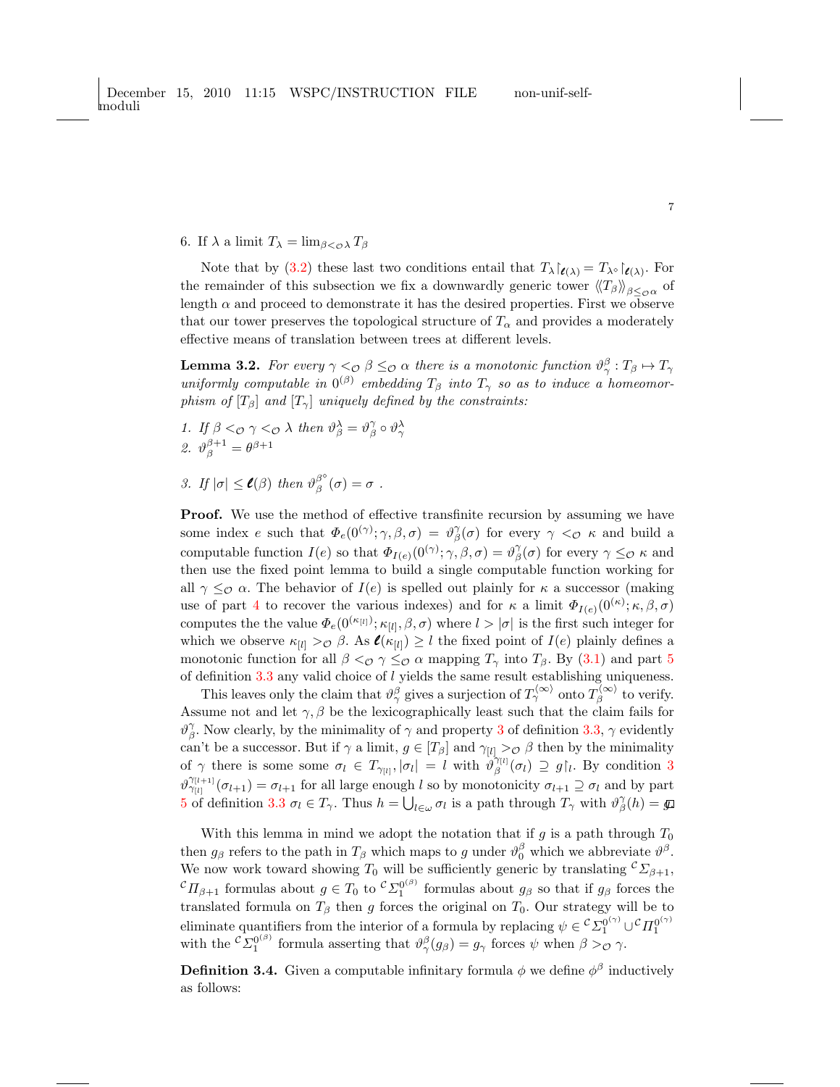6. If  $\lambda$  a limit  $T_{\lambda} = \lim_{\beta < \varphi \lambda} T_{\beta}$ 

Note that by [\(3.2\)](#page-4-0) these last two conditions entail that  $T_{\lambda} |_{\ell(\lambda)} = T_{\lambda} \circ |_{\ell(\lambda)}$ . For the remainder of this subsection we fix a downwardly generic tower  $\langle\langle T_{\beta}\rangle\rangle_{\beta\leq_{\mathcal{O}}\alpha}$  of length  $\alpha$  and proceed to demonstrate it has the desired properties. First we observe that our tower preserves the topological structure of  $T_{\alpha}$  and provides a moderately effective means of translation between trees at different levels.

<span id="page-6-0"></span>**Lemma 3.2.** For every  $\gamma <_{\mathcal{O}} \beta \leq_{\mathcal{O}} \alpha$  there is a monotonic function  $\vartheta^{\beta}_{\gamma} : T_{\beta} \mapsto T_{\gamma}$ uniformly computable in  $0^{(\beta)}$  embedding  $T_{\beta}$  into  $T_{\gamma}$  so as to induce a homeomorphism of  $[T_\beta]$  and  $[T_\gamma]$  uniquely defined by the constraints:

- 1. If  $\beta <_{\mathcal{O}} \gamma <_{\mathcal{O}} \lambda$  then  $\vartheta^{\lambda}_{\beta} = \vartheta^{\gamma}_{\beta} \circ \vartheta^{\lambda}_{\gamma}$ 2.  $\vartheta_{\beta}^{\beta+1} = \theta^{\beta+1}$
- 3. If  $|\sigma| \leq \ell(\beta)$  then  $\vartheta_{\beta}^{\beta^{\diamond}}$  $\int_{\beta}^{\rho}(\sigma)=\sigma$  .

**Proof.** We use the method of effective transfinite recursion by assuming we have some index e such that  $\Phi_e(0^{(\gamma)}; \gamma, \beta, \sigma) = \vartheta^{\gamma}_{\beta}(\sigma)$  for every  $\gamma <_{\mathcal{O}} \kappa$  and build a computable function  $I(e)$  so that  $\Phi_{I(e)}(0^{(\gamma)}; \gamma, \beta, \sigma) = \vartheta^{\gamma}_{\beta}(\sigma)$  for every  $\gamma \leq_{\mathcal{O}} \kappa$  and then use the fixed point lemma to build a single computable function working for all  $\gamma \leq_{\mathcal{O}} \alpha$ . The behavior of  $I(e)$  is spelled out plainly for  $\kappa$  a successor (making use of part [4](#page-5-0) to recover the various indexes) and for  $\kappa$  a limit  $\Phi_{I(e)}(0^{(\kappa)};\kappa,\beta,\sigma)$ computes the the value  $\Phi_e(0^{(\kappa_{[l]})}; \kappa_{[l]}, \beta, \sigma)$  where  $l > |\sigma|$  is the first such integer for which we observe  $\kappa_{[l]} >_{\mathcal{O}} \beta$ . As  $\ell(\kappa_{[l]}) \geq l$  the fixed point of  $I(e)$  plainly defines a monotonic function for all  $\beta <_{\mathcal{O}} \gamma \leq_{\mathcal{O}} \alpha$  mapping  $T_{\gamma}$  into  $T_{\beta}$ . By [\(3.1\)](#page-4-1) and part [5](#page-5-0) of definition  $3.3$  any valid choice of  $l$  yields the same result establishing uniqueness.

This leaves only the claim that  $\vartheta_{\gamma}^{\beta}$  gives a surjection of  $T_{\gamma}^{(\infty)}$  onto  $T_{\beta}^{(\infty)}$  $\int_{\beta}^{\sqrt{\infty}}$  to verify. Assume not and let  $\gamma$ ,  $\beta$  be the lexicographically least such that the claim fails for  $\vartheta_{\beta}^{\gamma}$ . Now clearly, by the minimality of  $\gamma$  and property [3](#page-5-0) of definition [3.3,](#page-5-1)  $\gamma$  evidently can't be a successor. But if  $\gamma$  a limit,  $g \in [T_\beta]$  and  $\gamma_{[l]} >_{\mathcal{O}} \beta$  then by the minimality of  $\gamma$  there is some some  $\sigma_l \in T_{\gamma_{[l]}}, |\sigma_l| = l$  with  $\vartheta_{\beta}^{\gamma_{[l]}}$  $\hat{\mathcal{G}}_{\beta}^{[l]}(\sigma_l) \supseteq g\mathcal{G}_l$ . By condition [3](#page-5-0)  $\vartheta_{\gamma_{[l]}}^{\gamma_{[l+1]}}(\sigma_{l+1}) = \sigma_{l+1}$  for all large enough l so by monotonicity  $\sigma_{l+1} \supseteq \sigma_l$  and by part [5](#page-5-0) of definition [3.3](#page-5-1)  $\sigma_l \in T_\gamma$ . Thus  $h = \bigcup_{l \in \omega} \sigma_l$  is a path through  $T_\gamma$  with  $\vartheta_\beta^\gamma(h) = \bar{\mathfrak{g}}$ .

With this lemma in mind we adopt the notation that if  $g$  is a path through  $T_0$ then  $g_\beta$  refers to the path in  $T_\beta$  which maps to g under  $\vartheta_0^\beta$  which we abbreviate  $\vartheta^\beta$ . We now work toward showing  $T_0$  will be sufficiently generic by translating  ${}^{\mathcal{C}}\Sigma_{\beta+1}$ ,  ${}^{\mathcal{C}}\Pi_{\beta+1}$  formulas about  $g \in T_0$  to  ${}^{\mathcal{C}}\Sigma_1^{0^{(\beta)}}$  formulas about  $g_\beta$  so that if  $g_\beta$  forces the translated formula on  $T_\beta$  then g forces the original on  $T_0$ . Our strategy will be to eliminate quantifiers from the interior of a formula by replacing  $\psi \in {}^c\Sigma_1^{0^{(\gamma)}} \cup {}^c\Pi_1^{0^{(\gamma)}}$ with the  ${}^{\mathcal{C}}\Sigma_1^{0^{(\beta)}}$  formula asserting that  $\vartheta_{\gamma}^{\beta}(g_{\beta}) = g_{\gamma}$  forces  $\psi$  when  $\beta >_{\mathcal{O}} \gamma$ .

<span id="page-6-1"></span>**Definition 3.4.** Given a computable infinitary formula  $\phi$  we define  $\phi^{\beta}$  inductively as follows: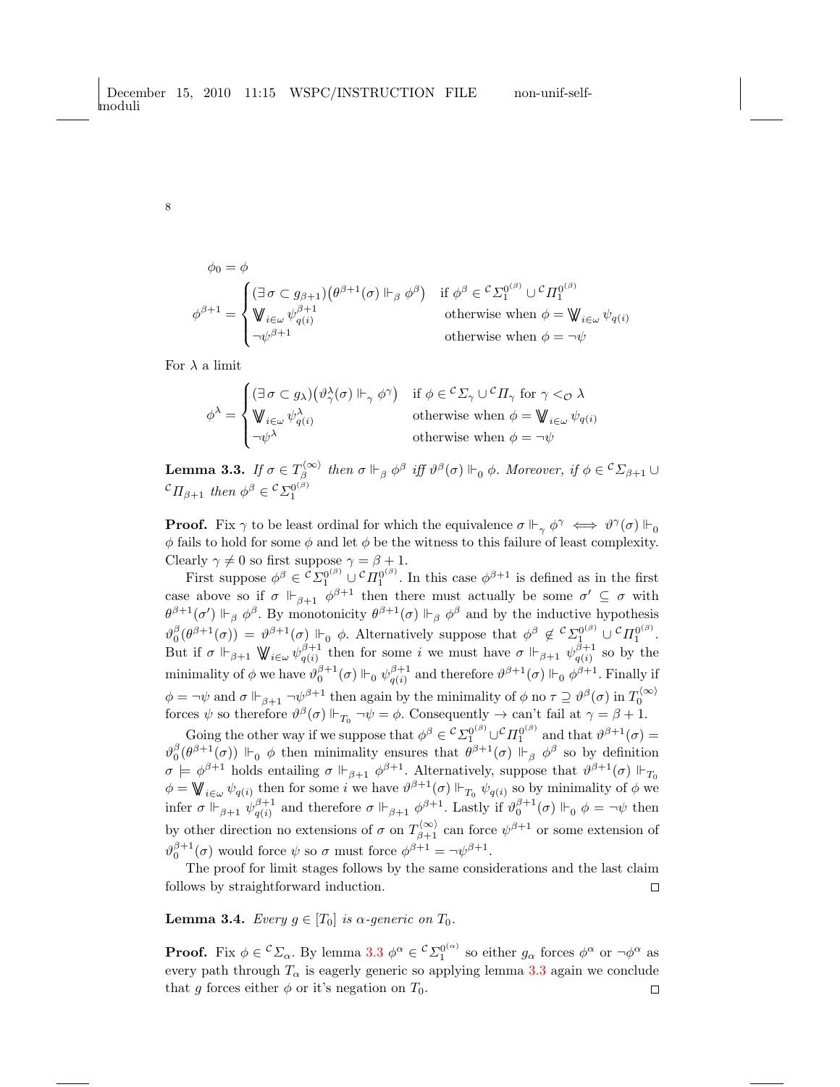$$
\phi_0 = \phi
$$
\n
$$
\phi^{\beta+1} = \begin{cases}\n(\exists \sigma \subset g_{\beta+1})(\theta^{\beta+1}(\sigma) \Vdash_{\beta} \phi^{\beta}) & \text{if } \phi^{\beta} \in {^c\Sigma_1^{0^{(\beta)}}} \cup {^c\Pi_1^{0^{(\beta)}}} \\
\mathbb{V}_{i \in \omega} \psi_{q(i)}^{\beta+1} & \text{otherwise when } \phi = \mathbb{V}_{i \in \omega} \psi_{q(i)} \\
\neg \psi^{\beta+1} & \text{otherwise when } \phi = \neg \psi\n\end{cases}
$$

For  $\lambda$  a limit

8

$$
\phi^{\lambda} = \begin{cases}\n(\exists \sigma \subset g_{\lambda})(\vartheta^{\lambda}_{\gamma}(\sigma) \Vdash_{\gamma} \phi^{\gamma}) & \text{if } \phi \in {^{\mathcal{C}}}\Sigma_{\gamma} \cup {^{\mathcal{C}}}\Pi_{\gamma} \text{ for } \gamma <_{\mathcal{O}} \lambda \\
\mathbb{W}_{i \in \omega} \psi^{\lambda}_{q(i)} & \text{otherwise when } \phi = \mathbb{W}_{i \in \omega} \psi_{q(i)} \\
\neg \psi^{\lambda} & \text{otherwise when } \phi = \neg \psi\n\end{cases}
$$

<span id="page-7-0"></span>Lemma 3.3. If  $\sigma \in T_{\beta}^{\langle \infty \rangle}$  $\mathcal{L}_{\beta}^{(\infty)}$  then  $\sigma \Vdash_{\beta} \phi^{\beta}$  iff  $\vartheta^{\beta}(\sigma) \Vdash_{0} \phi$ . Moreover, if  $\phi \in {}^{\mathcal{C}}\Sigma_{\beta+1} \cup$  ${}^{\mathcal{C}}\Pi_{\beta+1}$  then  $\phi^{\beta} \in {}^{\mathcal{C}}\Sigma_1^{0^{(\beta)}}$ 

**Proof.** Fix  $\gamma$  to be least ordinal for which the equivalence  $\sigma \Vdash_{\gamma} \phi^{\gamma} \iff \vartheta^{\gamma}(\sigma) \Vdash_{0}$  $\phi$  fails to hold for some  $\phi$  and let  $\phi$  be the witness to this failure of least complexity. Clearly  $\gamma \neq 0$  so first suppose  $\gamma = \beta + 1$ .

First suppose  $\phi^{\beta} \in {}^{\mathcal{C}}\mathcal{L}_1^{0^{(\beta)}} \cup {}^{\mathcal{C}}\mathcal{H}_1^{0^{(\beta)}}$ . In this case  $\phi^{\beta+1}$  is defined as in the first case above so if  $\sigma \Vdash_{\beta+1} \phi^{\beta+1}$  then there must actually be some  $\sigma' \subseteq \sigma$  with  $\theta^{\beta+1}(\sigma') \Vdash_{\beta} \phi^{\beta}$ . By monotonicity  $\theta^{\beta+1}(\sigma) \Vdash_{\beta} \phi^{\beta}$  and by the inductive hypothesis  $\vartheta_0^{\beta}(\theta^{\beta+1}(\sigma)) = \vartheta^{\beta+1}(\sigma) \Vdash_0 \phi$ . Alternatively suppose that  $\phi^{\beta} \notin {}^{\mathcal{C}}\Sigma_1^{0^{(\beta)}} \cup {}^{\mathcal{C}}\Pi_1^{0^{(\beta)}}$ . But if  $\sigma \Vdash_{\beta+1} \mathbb{V}_{i\in\omega} \psi_{q(i)}^{\beta+1}$  $\frac{\beta+1}{q(i)}$  then for some *i* we must have  $\sigma \Vdash_{\beta+1} \psi_{q(i)}^{\beta+1}$  $\frac{\rho+1}{q(i)}$  so by the minimality of  $\phi$  we have  $\vartheta_0^{\beta+1}(\sigma) \Vdash_0 \psi_{q(i)}^{\beta+1}$  $\frac{\beta+1}{q(i)}$  and therefore  $\vartheta^{\beta+1}(\sigma) \Vdash_0 \phi^{\beta+1}$ . Finally if  $\phi = \neg \psi$  and  $\sigma \Vdash_{\beta+1} \neg \psi^{\beta+1}$  then again by the minimality of  $\phi$  no  $\tau \supseteq \vartheta^{\beta}(\sigma)$  in  $T_0^{(\infty)}$ forces  $\psi$  so therefore  $\vartheta^{\beta}(\sigma) \Vdash_{T_0} \neg \psi = \phi$ . Consequently  $\to$  can't fail at  $\gamma = \beta + 1$ .

Going the other way if we suppose that  $\phi^{\beta} \in {}^{\mathcal{C}}\mathcal{Z}_1^{0^{(\beta)}} \cup {}^{\mathcal{C}}\mathcal{I}_1^{0^{(\beta)}}$  and that  $\vartheta^{\beta+1}(\sigma) =$  $\vartheta_0^{\beta}(\theta^{\beta+1}(\sigma))$   $\Vdash_0 \phi$  then minimality ensures that  $\theta^{\beta+1}(\sigma) \Vdash_{\beta} \phi^{\beta}$  so by definition  $\sigma \models \phi^{\beta+1}$  holds entailing  $\sigma \Vdash_{\beta+1} \phi^{\beta+1}$ . Alternatively, suppose that  $\vartheta^{\beta+1}(\sigma) \Vdash_{T_0}$  $\phi = \mathbb{V}_{i \in \omega} \psi_{q(i)}$  then for some *i* we have  $\vartheta^{\beta+1}(\sigma) \Vdash_{T_0} \psi_{q(i)}$  so by minimality of  $\phi$  we infer  $\sigma \Vdash_{\beta+1} \psi^{\beta+1}_{q(i)}$  $_{q(i)}^{\beta+1}$  and therefore  $\sigma \Vdash_{\beta+1} \phi^{\beta+1}$ . Lastly if  $\vartheta_0^{\beta+1}(\sigma) \Vdash_0 \phi = \neg \psi$  then by other direction no extensions of  $\sigma$  on  $T_{\beta+1}^{\langle\infty\rangle}$  can force  $\psi^{\beta+1}$  or some extension of  $\vartheta_0^{\beta+1}(\sigma)$  would force  $\psi$  so  $\sigma$  must force  $\phi^{\beta+1} = \neg \psi^{\beta+1}$ .

The proof for limit stages follows by the same considerations and the last claim follows by straightforward induction.  $\Box$ 

<span id="page-7-1"></span>**Lemma 3.4.** Every  $g \in [T_0]$  is  $\alpha$ -generic on  $T_0$ .

**Proof.** Fix  $\phi \in {}^{\mathcal{C}}\Sigma_{\alpha}$ . By lemma [3.3](#page-7-0)  $\phi^{\alpha} \in {}^{\mathcal{C}}\Sigma_{1}^{0^{(\alpha)}}$  so either  $g_{\alpha}$  forces  $\phi^{\alpha}$  or  $\neg \phi^{\alpha}$  as every path through  $T_{\alpha}$  is eagerly generic so applying lemma [3.3](#page-7-0) again we conclude that g forces either  $\phi$  or it's negation on  $T_0$ .  $\Box$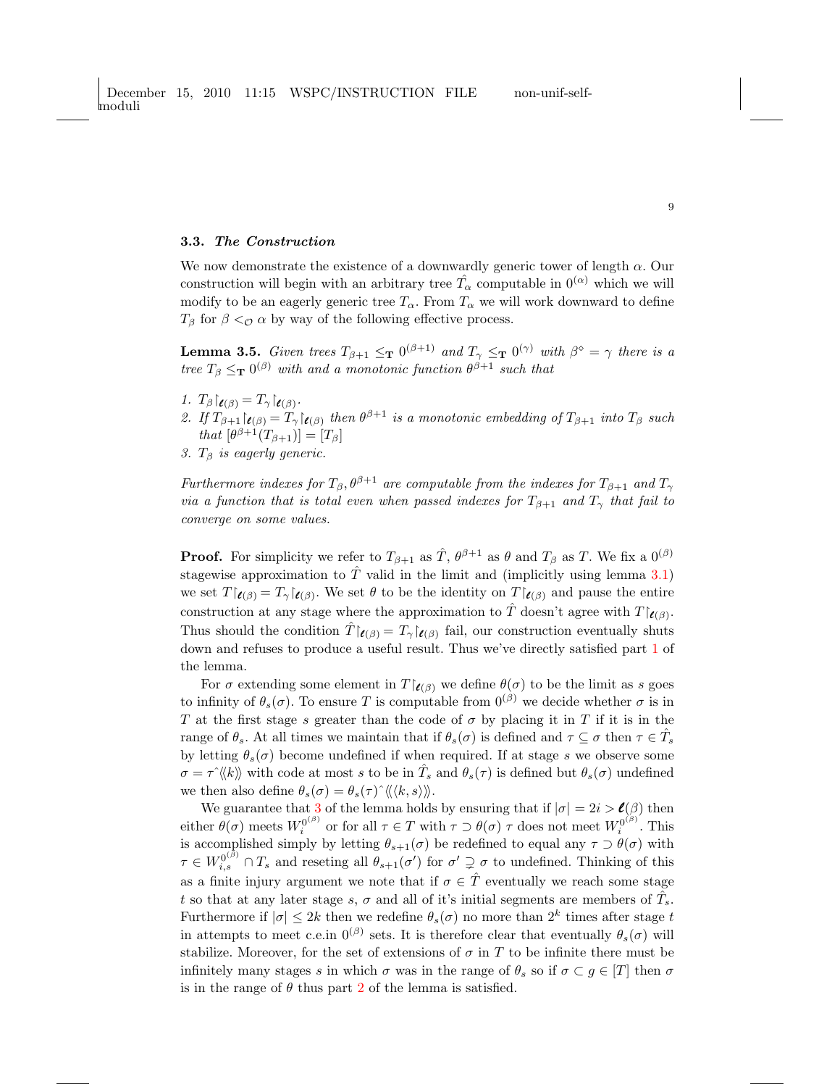### 3.3. The Construction

We now demonstrate the existence of a downwardly generic tower of length  $\alpha$ . Our construction will begin with an arbitrary tree  $\hat{T}_{\alpha}$  computable in  $0^{(\alpha)}$  which we will modify to be an eagerly generic tree  $T_{\alpha}$ . From  $T_{\alpha}$  we will work downward to define  $T_{\beta}$  for  $\beta <_{\mathcal{O}} \alpha$  by way of the following effective process.

<span id="page-8-0"></span>**Lemma 3.5.** Given trees  $T_{\beta+1} \leq_T 0^{(\beta+1)}$  and  $T_{\gamma} \leq_T 0^{(\gamma)}$  with  $\beta^{\circ} = \gamma$  there is a tree  $T_{\beta} \leq_{\mathbf{T}} 0^{(\beta)}$  with and a monotonic function  $\theta^{\beta+1}$  such that

- 1.  $T_{\beta} \upharpoonright_{\mathbf{C}(\beta)} = T_{\gamma} \upharpoonright_{\mathbf{C}(\beta)}$ .
- 2. If  $T_{\beta+1}|_{\ell(\beta)} = T_{\gamma}|_{\ell(\beta)}$  then  $\theta^{\beta+1}$  is a monotonic embedding of  $T_{\beta+1}$  into  $T_{\beta}$  such that  $[\theta^{\beta+1}(T_{\beta+1})] = [T_{\beta}]$
- 3.  $T_{\beta}$  is eagerly generic.

Furthermore indexes for  $T_{\beta}$ ,  $\theta^{\beta+1}$  are computable from the indexes for  $T_{\beta+1}$  and  $T_{\gamma}$ via a function that is total even when passed indexes for  $T_{\beta+1}$  and  $T_{\gamma}$  that fail to converge on some values.

**Proof.** For simplicity we refer to  $T_{\beta+1}$  as  $\hat{T}$ ,  $\theta^{\beta+1}$  as  $\theta$  and  $T_{\beta}$  as T. We fix a  $0^{(\beta)}$ stagewise approximation to  $\hat{T}$  valid in the limit and (implicitly using lemma [3.1\)](#page-5-2) we set  $T\vert_{\ell(\beta)} = T_\gamma\vert_{\ell(\beta)}$ . We set  $\theta$  to be the identity on  $T\vert_{\ell(\beta)}$  and pause the entire construction at any stage where the approximation to  $\hat{T}$  doesn't agree with  $T|_{\mathcal{C}(\beta)}$ . Thus should the condition  $\hat{T}|_{\ell(\beta)} = T_{\gamma} |_{\ell(\beta)}$  fail, our construction eventually shuts down and refuses to produce a useful result. Thus we've directly satisfied part [1](#page-5-0) of the lemma.

For  $\sigma$  extending some element in  $T|_{\ell(\beta)}$  we define  $\theta(\sigma)$  to be the limit as s goes to infinity of  $\theta_s(\sigma)$ . To ensure T is computable from  $0^{(\beta)}$  we decide whether  $\sigma$  is in T at the first stage s greater than the code of  $\sigma$  by placing it in T if it is in the range of  $\theta_s$ . At all times we maintain that if  $\theta_s(\sigma)$  is defined and  $\tau \subseteq \sigma$  then  $\tau \in \hat{T}_s$ by letting  $\theta_s(\sigma)$  become undefined if when required. If at stage s we observe some  $\sigma = \tau^{\gamma} \langle k \rangle$  with code at most s to be in  $\hat{T}_s$  and  $\theta_s(\tau)$  is defined but  $\theta_s(\sigma)$  undefined we then also define  $\theta_s(\sigma) = \theta_s(\tau)^\gamma \langle\langle k, s \rangle\rangle$ .

We guarantee that [3](#page-5-0) of the lemma holds by ensuring that if  $|\sigma| = 2i > \ell(\beta)$  then either  $\theta(\sigma)$  meets  $W_i^{0^{(\beta)}}$  or for all  $\tau \in T$  with  $\tau \supset \theta(\sigma)$   $\tau$  does not meet  $W_i^{0^{(\beta)}}$ . This is accomplished simply by letting  $\theta_{s+1}(\sigma)$  be redefined to equal any  $\tau \supset \theta(\sigma)$  with  $\tau \in W_{i,s}^{(0)} \cap T_s$  and reseting all  $\theta_{s+1}(\sigma')$  for  $\sigma' \supsetneq \sigma$  to undefined. Thinking of this as a finite injury argument we note that if  $\sigma \in \hat{T}$  eventually we reach some stage t so that at any later stage s,  $\sigma$  and all of it's initial segments are members of  $\hat{T}_s$ . Furthermore if  $|\sigma| \leq 2k$  then we redefine  $\theta_s(\sigma)$  no more than  $2^k$  times after stage t in attempts to meet c.e.in  $0^{(\beta)}$  sets. It is therefore clear that eventually  $\theta_s(\sigma)$  will stabilize. Moreover, for the set of extensions of  $\sigma$  in  $T$  to be infinite there must be infinitely many stages s in which  $\sigma$  was in the range of  $\theta_s$  so if  $\sigma \subset g \in [T]$  then  $\sigma$ is in the range of  $\theta$  thus part [2](#page-5-0) of the lemma is satisfied.

9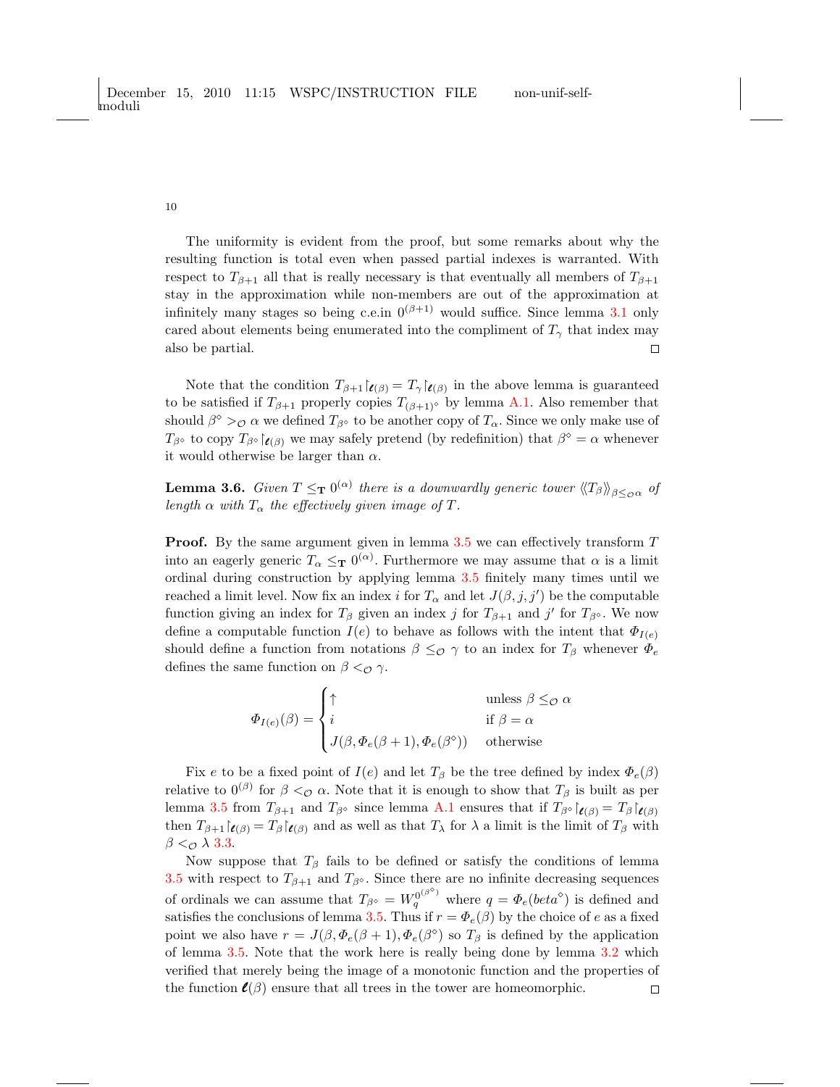The uniformity is evident from the proof, but some remarks about why the resulting function is total even when passed partial indexes is warranted. With respect to  $T_{\beta+1}$  all that is really necessary is that eventually all members of  $T_{\beta+1}$ stay in the approximation while non-members are out of the approximation at infinitely many stages so being c.e.in  $0^{(\beta+1)}$  would suffice. Since lemma [3.1](#page-5-2) only cared about elements being enumerated into the compliment of  $T_{\gamma}$  that index may also be partial.  $\Box$ 

Note that the condition  $T_{\beta+1}$   $\mathcal{L}_{(\beta)} = T_{\gamma}$   $\mathcal{L}_{(\beta)}$  in the above lemma is guaranteed to be satisfied if  $T_{\beta+1}$  properly copies  $T_{(\beta+1)}\circ$  by lemma [A.1.](#page-5-2) Also remember that should  $\beta^{\diamond} >_{\mathcal{O}} \alpha$  we defined  $T_{\beta^{\diamond}}$  to be another copy of  $T_{\alpha}$ . Since we only make use of  $T_{\beta}$ <sup>o</sup> to copy  $T_{\beta}$ <sup>o</sup>  $\mathcal{L}(\beta)$  we may safely pretend (by redefinition) that  $\beta^{\diamond} = \alpha$  whenever it would otherwise be larger than  $\alpha$ .

<span id="page-9-0"></span>**Lemma 3.6.** Given  $T \leq_T 0^{(\alpha)}$  there is a downwardly generic tower  $\langle\!\langle T_\beta\rangle\!\rangle_{\beta \leq_C\alpha}$  of length  $\alpha$  with  $T_{\alpha}$  the effectively given image of T.

**Proof.** By the same argument given in lemma  $3.5$  we can effectively transform  $T$ into an eagerly generic  $T_{\alpha} \leq_T 0^{(\alpha)}$ . Furthermore we may assume that  $\alpha$  is a limit ordinal during construction by applying lemma [3.5](#page-8-0) finitely many times until we reached a limit level. Now fix an index *i* for  $T_{\alpha}$  and let  $J(\beta, j, j')$  be the computable function giving an index for  $T_{\beta}$  given an index j for  $T_{\beta+1}$  and j' for  $T_{\beta^{\circ}}$ . We now define a computable function  $I(e)$  to behave as follows with the intent that  $\Phi_{I(e)}$ should define a function from notations  $\beta \leq_{\mathcal{O}} \gamma$  to an index for  $T_{\beta}$  whenever  $\Phi_e$ defines the same function on  $\beta <_{\mathcal{O}} \gamma$ .

$$
\Phi_{I(e)}(\beta) = \begin{cases} \uparrow & \text{unless } \beta \leq_{\mathcal{O}} \alpha \\ i & \text{if } \beta = \alpha \\ J(\beta, \Phi_e(\beta + 1), \Phi_e(\beta^{\circ})) & \text{otherwise} \end{cases}
$$

Fix e to be a fixed point of  $I(e)$  and let  $T_\beta$  be the tree defined by index  $\Phi_e(\beta)$ relative to  $0^{(\beta)}$  for  $\beta <_{\mathcal{O}} \alpha$ . Note that it is enough to show that  $T_{\beta}$  is built as per lemma [3.5](#page-8-0) from  $T_{\beta+1}$  and  $T_{\beta}$  since lemma [A.1](#page-5-2) ensures that if  $T_{\beta} \circ \upharpoonright_{\ell(\beta)} = T_{\beta} \upharpoonright_{\ell(\beta)}$ then  $T_{\beta+1}$   $\epsilon(\beta) = T_{\beta}$   $\epsilon(\beta)$  and as well as that  $T_{\lambda}$  for  $\lambda$  a limit is the limit of  $T_{\beta}$  with  $\beta <_{\mathcal{O}} \lambda 3.3$ .

Now suppose that  $T_\beta$  fails to be defined or satisfy the conditions of lemma [3.5](#page-8-0) with respect to  $T_{\beta+1}$  and  $T_{\beta^{\circ}}$ . Since there are no infinite decreasing sequences of ordinals we can assume that  $T_{\beta^{\circ}} = W_q^{0^{(\beta^{\circ})}}$  where  $q = \Phi_e(beta^{\circ})$  is defined and satisfies the conclusions of lemma [3.5.](#page-8-0) Thus if  $r = \Phi_e(\beta)$  by the choice of e as a fixed point we also have  $r = J(\beta, \Phi_e(\beta + 1), \Phi_e(\beta^{\circ}))$  so  $T_{\beta}$  is defined by the application of lemma [3.5.](#page-8-0) Note that the work here is really being done by lemma [3.2](#page-6-0) which verified that merely being the image of a monotonic function and the properties of the function  $\ell(\beta)$  ensure that all trees in the tower are homeomorphic.  $\Box$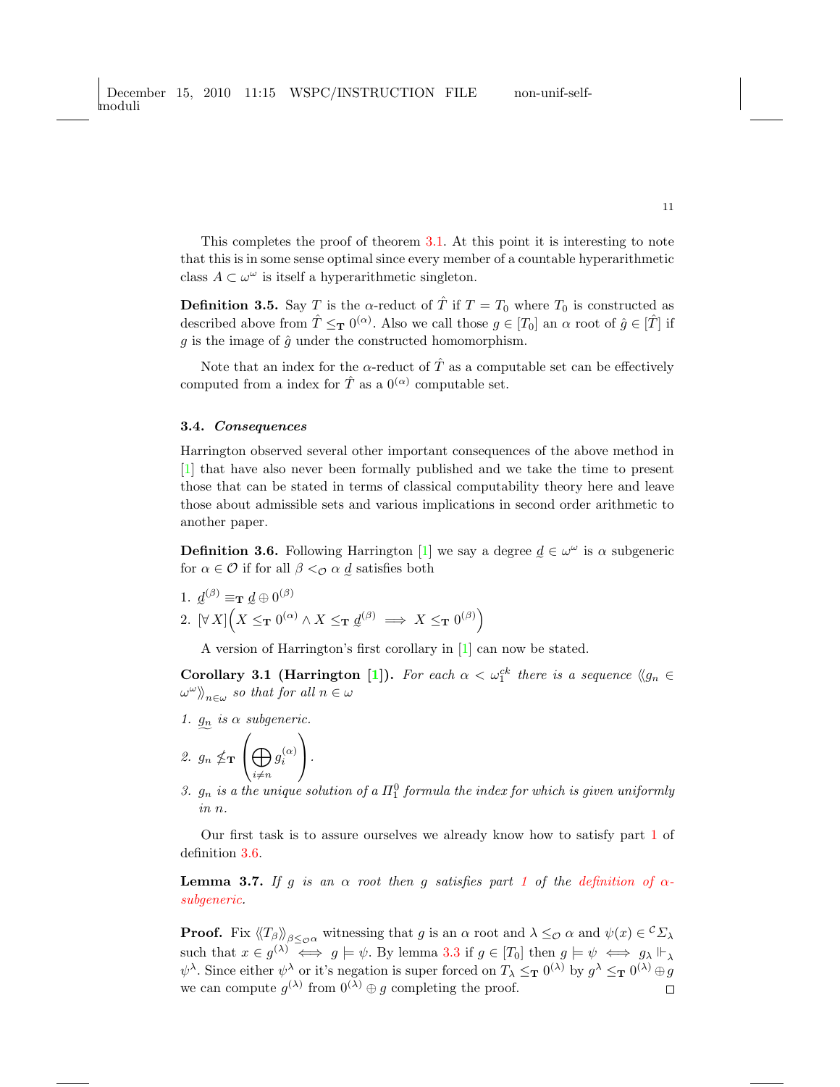This completes the proof of theorem [3.1.](#page-4-2) At this point it is interesting to note that this is in some sense optimal since every member of a countable hyperarithmetic class  $A \subset \omega^{\omega}$  is itself a hyperarithmetic singleton.

<span id="page-10-1"></span>**Definition 3.5.** Say T is the  $\alpha$ -reduct of  $\hat{T}$  if  $T = T_0$  where  $T_0$  is constructed as described above from  $\hat{T} \leq_{\mathbf{T}} 0^{(\alpha)}$ . Also we call those  $g \in [T_0]$  an  $\alpha$  root of  $\hat{g} \in [\hat{T}]$  if  $g$  is the image of  $\hat{g}$  under the constructed homomorphism.

Note that an index for the  $\alpha$ -reduct of  $\hat{T}$  as a computable set can be effectively computed from a index for  $\hat{T}$  as a  $0^{(\alpha)}$  computable set.

#### 3.4. Consequences

Harrington observed several other important consequences of the above method in [\[1\]](#page-25-0) that have also never been formally published and we take the time to present those that can be stated in terms of classical computability theory here and leave those about admissible sets and various implications in second order arithmetic to another paper.

<span id="page-10-0"></span>**Definition 3.6.** Following Harrington [\[1\]](#page-25-0) we say a degree  $\underline{d} \in \omega^{\omega}$  is  $\alpha$  subgeneric for  $\alpha \in \mathcal{O}$  if for all  $\beta <_{\mathcal{O}} \alpha \underline{d}$  satisfies both

1.  $\underline{d}^{(\beta)} \equiv_{\mathbf{T}} \underline{d} \oplus 0^{(\beta)}$ 2.  $[\forall X] (X \leq_T 0^{(\alpha)} \wedge X \leq_T \underline{d}^{(\beta)} \implies X \leq_T 0^{(\beta)}$ 

A version of Harrington's first corollary in [\[1\]](#page-25-0) can now be stated.

**Corollary 3.1 (Harrington [\[1\]](#page-25-0)).** For each  $\alpha < \omega_1^{ck}$  there is a sequence  $\langle \zeta_{n} \rangle \in$  $\omega^{\omega}\rangle\!\rangle_{n\in\omega}$  so that for all  $n\in\omega$ 

1.  $g_n$  is  $\alpha$  subgeneric.

$$
\mathcal{Z}.\ \ g_n \nleq \mathbf{T} \left( \bigoplus_{i \neq n} g_i^{(\alpha)} \right).
$$

3.  $g_n$  is a the unique solution of a  $\Pi^0_1$  formula the index for which is given uniformly  $in n$ .

Our first task is to assure ourselves we already know how to satisfy part [1](#page-5-0) of definition [3.6.](#page-10-0)

<span id="page-10-2"></span>Lemma 3.7. If g is an  $\alpha$  root then g satisfies part [1](#page-5-0) of the [definition of](#page-10-0)  $\alpha$ [subgeneric.](#page-10-0)

**Proof.** Fix  $\langle T_\beta \rangle_{\beta \leq \alpha}$  witnessing that g is an  $\alpha$  root and  $\lambda \leq_{\mathcal{O}} \alpha$  and  $\psi(x) \in^{\mathcal{C}} \Sigma_\lambda$ such that  $x \in g^{(\lambda)} \iff g \models \psi$ . By lemma [3.3](#page-7-0) if  $g \in [T_0]$  then  $g \models \psi \iff g_\lambda \Vdash_\lambda$  $\psi^{\lambda}$ . Since either  $\psi^{\lambda}$  or it's negation is super forced on  $T_{\lambda} \leq_{\mathbf{T}} 0^{(\lambda)}$  by  $g^{\lambda} \leq_{\mathbf{T}} 0^{(\lambda)} \oplus g$ we can compute  $g^{(\lambda)}$  from  $0^{(\lambda)} \oplus g$  completing the proof.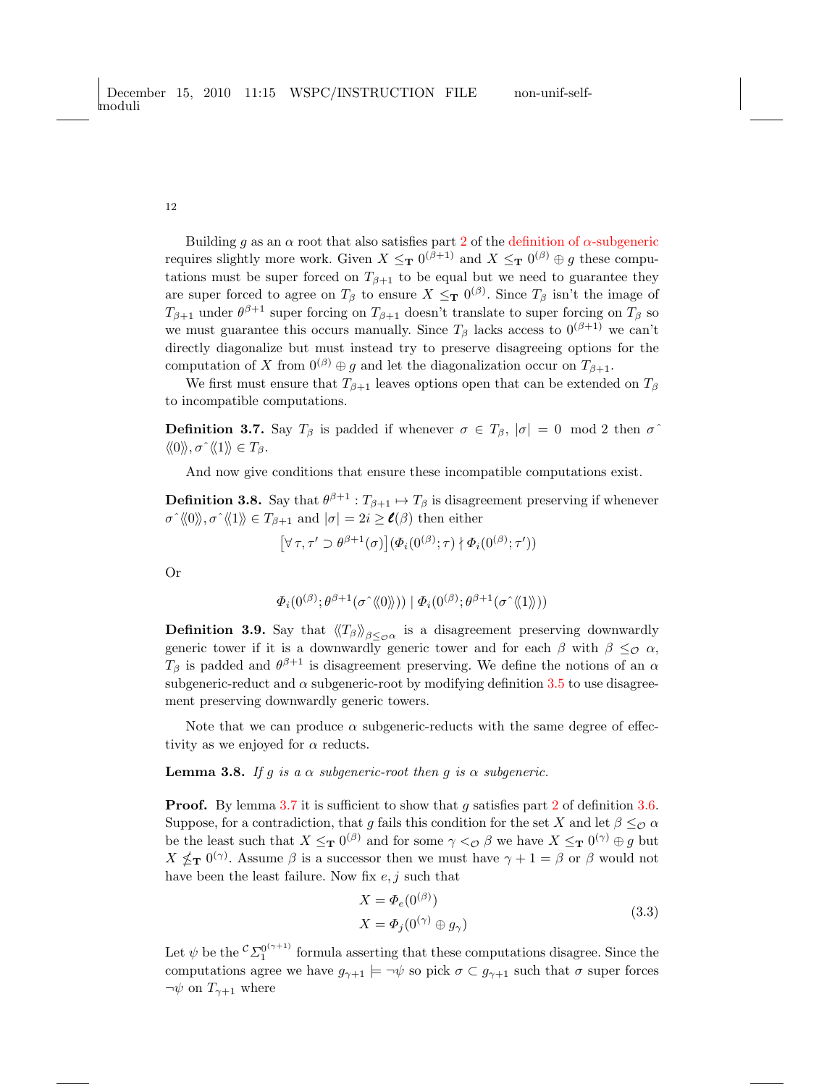Building q as an  $\alpha$  root that also satisfies part [2](#page-5-0) of the [definition of](#page-10-0)  $\alpha$ -subgeneric requires slightly more work. Given  $X \leq_{\mathbf{T}} 0^{(\beta+1)}$  and  $X \leq_{\mathbf{T}} 0^{(\beta)} \oplus g$  these computations must be super forced on  $T_{\beta+1}$  to be equal but we need to guarantee they are super forced to agree on  $T_\beta$  to ensure  $X \leq_T 0^{(\beta)}$ . Since  $T_\beta$  isn't the image of  $T_{\beta+1}$  under  $\theta^{\beta+1}$  super forcing on  $T_{\beta+1}$  doesn't translate to super forcing on  $T_{\beta}$  so we must guarantee this occurs manually. Since  $T_\beta$  lacks access to  $0^{(\beta+1)}$  we can't directly diagonalize but must instead try to preserve disagreeing options for the computation of X from  $0^{(\beta)} \oplus g$  and let the diagonalization occur on  $T_{\beta+1}$ .

We first must ensure that  $T_{\beta+1}$  leaves options open that can be extended on  $T_{\beta}$ to incompatible computations.

**Definition 3.7.** Say  $T_\beta$  is padded if whenever  $\sigma \in T_\beta$ ,  $|\sigma| = 0 \mod 2$  then  $\sigma$  $\langle\!\langle 0 \rangle\!\rangle, \sigma^{\hat{}}\langle\!\langle 1 \rangle\!\rangle \in T_{\beta}.$ 

And now give conditions that ensure these incompatible computations exist.

<span id="page-11-1"></span>**Definition 3.8.** Say that  $\theta^{\beta+1} : T_{\beta+1} \to T_{\beta}$  is disagreement preserving if whenever  $\sigma^{\hat{}}\langle 0 \rangle, \sigma^{\hat{}}\langle 1 \rangle \rangle \in T_{\beta+1}$  and  $|\sigma| = 2i \geq \ell(\beta)$  then either

$$
[\forall \tau, \tau' \supset \theta^{\beta+1}(\sigma)] (\Phi_i(0^{(\beta)}; \tau) \nmid \Phi_i(0^{(\beta)}; \tau'))
$$

Or

$$
\varPhi_{i}(0^{(\beta)} ; \theta^{\beta+1}(\sigma^{\smallfrown}{\langle\!\langle} 0 \rangle\!\rangle)) \mid \varPhi_{i}(0^{(\beta)} ; \theta^{\beta+1}(\sigma^{\smallfrown}{\langle\!\langle} 1 \rangle\!\rangle))
$$

**Definition 3.9.** Say that  $\langle\langle T_{\beta}\rangle\rangle_{\beta \leq \alpha}$  is a disagreement preserving downwardly generic tower if it is a downwardly generic tower and for each  $\beta$  with  $\beta \leq_{\mathcal{O}} \alpha$ ,  $T_{\beta}$  is padded and  $\theta^{\beta+1}$  is disagreement preserving. We define the notions of an  $\alpha$ subgeneric-reduct and  $\alpha$  subgeneric-root by modifying definition [3.5](#page-10-1) to use disagreement preserving downwardly generic towers.

Note that we can produce  $\alpha$  subgeneric-reducts with the same degree of effectivity as we enjoyed for  $\alpha$  reducts.

<span id="page-11-0"></span>**Lemma 3.8.** If g is a  $\alpha$  subgeneric-root then g is  $\alpha$  subgeneric.

**Proof.** By lemma [3.7](#page-10-2) it is sufficient to show that  $g$  satisfies part [2](#page-5-0) of definition [3.6.](#page-10-0) Suppose, for a contradiction, that g fails this condition for the set X and let  $\beta \leq_{\mathcal{O}} \alpha$ be the least such that  $X \leq_T 0^{(\beta)}$  and for some  $\gamma <_{\mathcal{O}} \beta$  we have  $X \leq_T 0^{(\gamma)} \oplus g$  but  $X \nleq_{\mathbf{T}} 0^{(\gamma)}$ . Assume  $\beta$  is a successor then we must have  $\gamma + 1 = \beta$  or  $\beta$  would not have been the least failure. Now fix  $e, j$  such that

<span id="page-11-2"></span>
$$
X = \Phi_e(0^{(\beta)})
$$
  
\n
$$
X = \Phi_j(0^{(\gamma)} \oplus g_\gamma)
$$
\n(3.3)

Let  $\psi$  be the  ${}^c\Sigma_1^{0^{(\gamma+1)}}$  formula asserting that these computations disagree. Since the computations agree we have  $g_{\gamma+1} \models \neg \psi$  so pick  $\sigma \subset g_{\gamma+1}$  such that  $\sigma$  super forces  $\neg \psi$  on  $T_{\gamma+1}$  where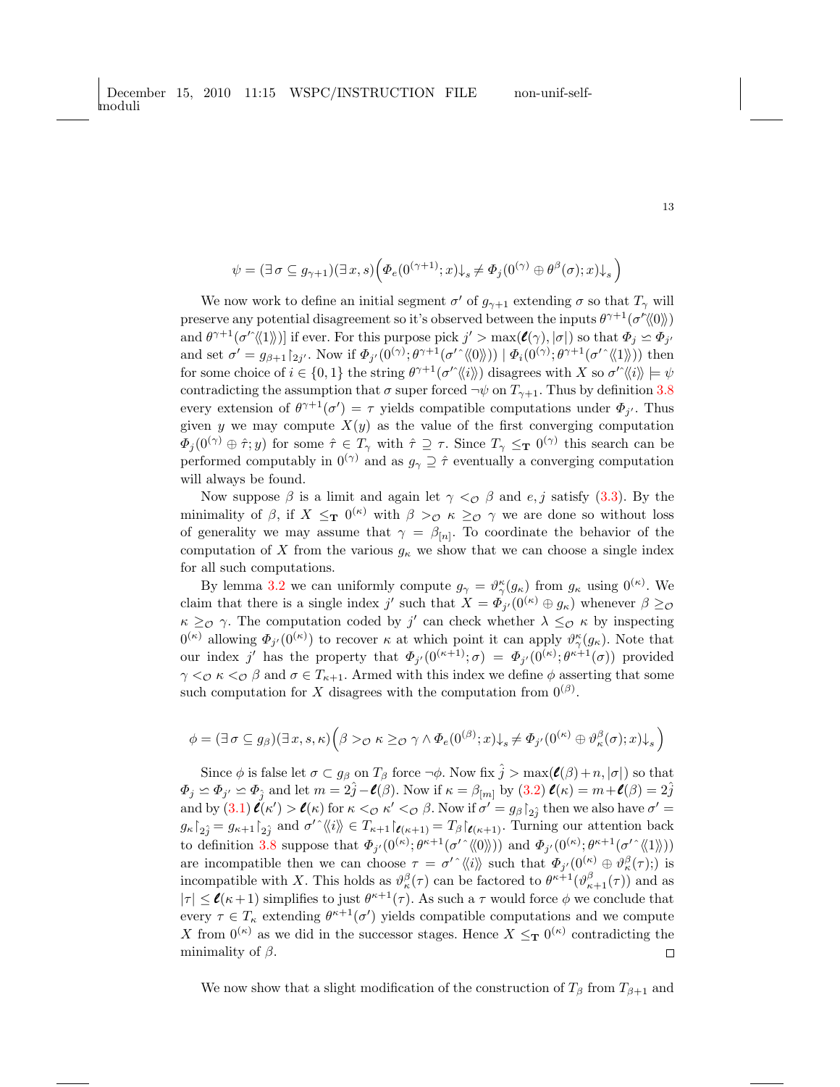$$
\psi = (\exists \,\sigma \subseteq g_{\gamma + 1})(\exists \,x, s) \Big( \varPhi_e(0^{(\gamma + 1)};x)\mathord{\downarrow}_s \neq \varPhi_j(0^{(\gamma)} \oplus \theta^\beta(\sigma);x)\mathord{\downarrow}_s \Big)
$$

We now work to define an initial segment  $\sigma'$  of  $g_{\gamma+1}$  extending  $\sigma$  so that  $T_{\gamma}$  will preserve any potential disagreement so it's observed between the inputs  $\theta^{\gamma+1}(\sigma'(\langle 0 \rangle))$ and  $\theta^{\gamma+1}(\sigma' \langle \langle 1 \rangle \rangle)$  if ever. For this purpose pick  $j' > \max(\ell(\gamma), |\sigma|)$  so that  $\Phi_j \simeq \Phi_{j'}$ and set  $\sigma' = g_{\beta+1} \left[ \frac{2j'}{(\beta+1)} \right]$ . Now if  $\Phi_{j'}(0^{(\gamma)}; \theta^{\gamma+1}(\sigma' \langle 0 \rangle)) | \Phi_i(0^{(\gamma)}; \theta^{\gamma+1}(\sigma' \langle 1 \rangle))$  then for some choice of  $i \in \{0,1\}$  the string  $\theta^{\gamma+1}(\sigma' \langle\langle i \rangle\rangle)$  disagrees with X so  $\sigma' \langle\langle i \rangle\rangle \models \psi$ contradicting the assumption that  $\sigma$  super forced  $\neg \psi$  on  $T_{\gamma+1}$ . Thus by definition [3.8](#page-11-1) every extension of  $\theta^{\gamma+1}(\sigma') = \tau$  yields compatible computations under  $\Phi_{j'}$ . Thus given y we may compute  $X(y)$  as the value of the first converging computation  $\Phi_j(0^{(\gamma)} \oplus \hat{\tau}; y)$  for some  $\hat{\tau} \in T_\gamma$  with  $\hat{\tau} \supseteq \tau$ . Since  $T_\gamma \leq_T 0^{(\gamma)}$  this search can be performed computably in  $0^{(\gamma)}$  and as  $g_{\gamma} \supseteq \hat{\tau}$  eventually a converging computation will always be found.

Now suppose  $\beta$  is a limit and again let  $\gamma <_{\mathcal{O}} \beta$  and  $e, j$  satisfy [\(3.3\)](#page-11-2). By the minimality of  $\beta$ , if  $X \leq_T 0^{(\kappa)}$  with  $\beta >_{\mathcal{O}} \kappa \geq_{\mathcal{O}} \gamma$  we are done so without loss of generality we may assume that  $\gamma = \beta_{[n]}$ . To coordinate the behavior of the computation of X from the various  $g_{\kappa}$  we show that we can choose a single index for all such computations.

By lemma [3.2](#page-6-0) we can uniformly compute  $g_{\gamma} = \vartheta_{\gamma}^{\kappa}(g_{\kappa})$  from  $g_{\kappa}$  using  $0^{(\kappa)}$ . We claim that there is a single index j' such that  $X = \Phi_{j'}(0^{(\kappa)} \oplus g_{\kappa})$  whenever  $\beta \geq_{\mathcal{O}}$  $\kappa \geq_{\mathcal{O}} \gamma$ . The computation coded by j' can check whether  $\lambda \leq_{\mathcal{O}} \kappa$  by inspecting  $0^{(\kappa)}$  allowing  $\Phi_{j'}(0^{(\kappa)})$  to recover  $\kappa$  at which point it can apply  $\vartheta_{\gamma}^{\kappa}(g_{\kappa})$ . Note that our index j' has the property that  $\Phi_{j'}(0^{(\kappa+1)};\sigma) = \Phi_{j'}(0^{(\kappa)};\theta^{\kappa+1}(\sigma))$  provided  $\gamma <_{\mathcal{O}} \kappa <_{\mathcal{O}} \beta$  and  $\sigma \in T_{\kappa+1}$ . Armed with this index we define  $\phi$  asserting that some such computation for X disagrees with the computation from  $0^{(\beta)}$ .

$$
\phi=(\exists\,\sigma\subseteq g_\beta)(\exists\,x,s,\kappa)\Bigl(\beta>_{\mathcal O}\kappa\geq_{\mathcal O}\gamma\wedge\varPhi_e(0^{(\beta)};x)\hspace{0.1em}\downarrow_s\neq\varPhi_{j'}(0^{(\kappa)}\oplus\vartheta^{\beta}_{\kappa}(\sigma);x)\hspace{0.1em}\downarrow_s\Bigr)
$$

Since  $\phi$  is false let  $\sigma \subset g_\beta$  on  $T_\beta$  force  $\neg \phi$ . Now fix  $\hat{j} > \max(\ell(\beta)+n, |\sigma|)$  so that  $\Phi_j \simeq \Phi_{j'} \simeq \Phi_{\hat{j}}$  and let  $m = 2\hat{j} - \ell(\beta)$ . Now if  $\kappa = \beta_{[m]}$  by  $(3.2)$   $\ell(\kappa) = m + \ell(\beta) = 2\hat{j}$ and by  $(3.1)$   $\mathbf{\ell}(\kappa') > \mathbf{\ell}(\kappa)$  for  $\kappa <_{\mathcal{O}} \kappa' <_{\mathcal{O}} \beta$ . Now if  $\sigma' = g_{\beta} \restriction_{2\hat{j}}$  then we also have  $\sigma' =$  $g_{\kappa}$  $\upharpoonright_{2\hat{j}} = g_{\kappa+1}$  $\upharpoonright_{2\hat{j}}$  and  $\sigma' \langle\langle i \rangle\rangle \in T_{\kappa+1}$ ,  $\upharpoonright_{\mathbf{\ell}(\kappa+1)} = T_{\beta}$ ,  $\upharpoonright_{\mathbf{\ell}(\kappa+1)}$ . Turning our attention back to definition [3.8](#page-11-1) suppose that  $\Phi_{j'}(0^{(\kappa)};\theta^{\kappa+1}(\sigma'^{\,\,\,\,\langle} \langle 0 \rangle\!\rangle))$  and  $\Phi_{j'}(0^{(\kappa)};\theta^{\kappa+1}(\sigma'^{\,\,\,\langle} \langle 1 \rangle\!\rangle))$ are incompatible then we can choose  $\tau = \sigma' \hat{ } \langle i \rangle$  such that  $\Phi_{j'}(0^{(\kappa)} \oplus \vartheta^{\beta}_{\kappa}(\tau));$  is incompatible with X. This holds as  $\theta_{\kappa}^{\beta}(\tau)$  can be factored to  $\theta^{\kappa+1}(\theta_{\kappa+1}^{\beta}(\tau))$  and as  $|\tau| \leq \ell(\kappa+1)$  simplifies to just  $\theta^{\kappa+1}(\tau)$ . As such a  $\tau$  would force  $\phi$  we conclude that every  $\tau \in T_{\kappa}$  extending  $\theta^{\kappa+1}(\sigma')$  yields compatible computations and we compute X from  $0^{(\kappa)}$  as we did in the successor stages. Hence  $X \leq_{\mathbf{T}} 0^{(\kappa)}$  contradicting the minimality of  $\beta$ .  $\Box$ 

We now show that a slight modification of the construction of  $T_\beta$  from  $T_{\beta+1}$  and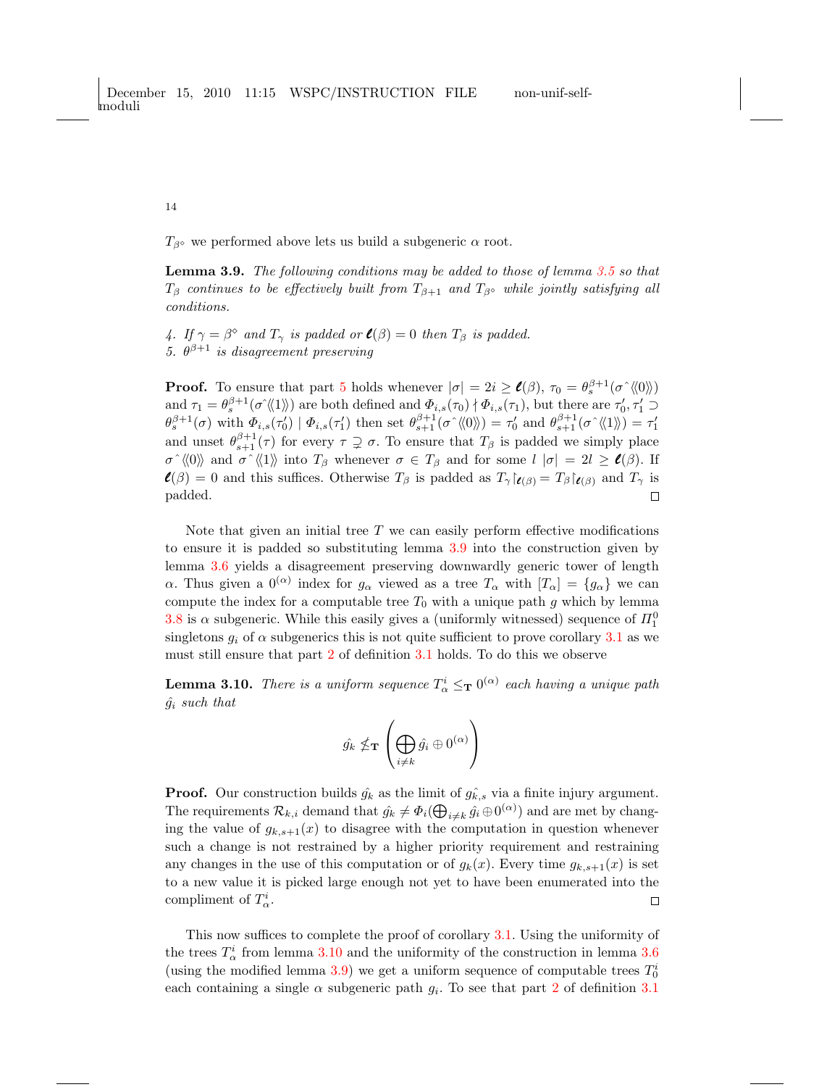<span id="page-13-0"></span> $T_{\beta}$  we performed above lets us build a subgeneric  $\alpha$  root.

Lemma 3.9. The following conditions may be added to those of lemma [3.5](#page-8-0) so that  $T_\beta$  continues to be effectively built from  $T_{\beta+1}$  and  $T_{\beta}$  while jointly satisfying all conditions.

4. If  $\gamma = \beta^{\diamond}$  and  $T_{\gamma}$  is padded or  $\ell(\beta) = 0$  then  $T_{\beta}$  is padded. 5.  $\theta^{\beta+1}$  is disagreement preserving

**Proof.** To ensure that part [5](#page-5-0) holds whenever  $|\sigma| = 2i \ge \ell(\beta)$ ,  $\tau_0 = \theta_s^{\beta+1}(\sigma^{\gamma}\langle\!\langle 0 \rangle\!\rangle)$ and  $\tau_1 = \theta_s^{\beta+1}(\sigma \langle 1 \rangle)$  are both defined and  $\Phi_{i,s}(\tau_0) \nmid \Phi_{i,s}(\tau_1)$ , but there are  $\tau'_0, \tau'_1 \supset$  $\theta_s^{\beta+1}(\sigma)$  with  $\Phi_{i,s}(\tau_0') \mid \Phi_{i,s}(\tau_1')$  then set  $\theta_{s+1}^{\beta+1}(\sigma \langle 0 \rangle) = \tau_0'$  and  $\theta_{s+1}^{\beta+1}(\sigma \langle 1 \rangle) = \tau_1'$ and unset  $\theta_{s+1}^{\beta+1}(\tau)$  for every  $\tau \supsetneq \sigma$ . To ensure that  $T_{\beta}$  is padded we simply place  $\sigma^{\wedge} \langle 0 \rangle$  and  $\sigma^{\wedge} \langle 1 \rangle$  into  $T_{\beta}$  whenever  $\sigma \in T_{\beta}$  and for some  $l | \sigma | = 2l \ge \ell(\beta)$ . If  $\ell(\beta) = 0$  and this suffices. Otherwise  $T_\beta$  is padded as  $T_\gamma|_{\ell(\beta)} = T_\beta|_{\ell(\beta)}$  and  $T_\gamma$  is padded.  $\Box$ 

Note that given an initial tree  $T$  we can easily perform effective modifications to ensure it is padded so substituting lemma [3.9](#page-13-0) into the construction given by lemma [3.6](#page-9-0) yields a disagreement preserving downwardly generic tower of length  $\alpha$ . Thus given a  $0^{(\alpha)}$  index for  $g_{\alpha}$  viewed as a tree  $T_{\alpha}$  with  $[T_{\alpha}] = \{g_{\alpha}\}\$ we can compute the index for a computable tree  $T_0$  with a unique path  $g$  which by lemma [3.8](#page-11-0) is  $\alpha$  subgeneric. While this easily gives a (uniformly witnessed) sequence of  $\Pi_1^0$ singletons  $q_i$  of  $\alpha$  subgenerics this is not quite sufficient to prove corollary [3.1](#page-2-2) as we must still ensure that part [2](#page-5-0) of definition [3.1](#page-2-2) holds. To do this we observe

<span id="page-13-1"></span>**Lemma 3.10.** There is a uniform sequence  $T^i_\alpha \leq_{\bf T} 0^{(\alpha)}$  each having a unique path  $\hat{g}_i$  such that

$$
\hat{g_k} \nleq \mathbf{T} \left( \bigoplus_{i \neq k} \hat{g_i} \oplus 0^{(\alpha)} \right)
$$

**Proof.** Our construction builds  $\hat{g}_k$  as the limit of  $g_{k,s}$  via a finite injury argument. The requirements  $\mathcal{R}_{k,i}$  demand that  $\hat{g_k} \neq \Phi_i(\bigoplus_{i \neq k} \hat{g_i} \oplus 0^{(\alpha)})$  and are met by changing the value of  $g_{k,s+1}(x)$  to disagree with the computation in question whenever such a change is not restrained by a higher priority requirement and restraining any changes in the use of this computation or of  $g_k(x)$ . Every time  $g_{k,s+1}(x)$  is set to a new value it is picked large enough not yet to have been enumerated into the compliment of  $T^i_\alpha$ .  $\Box$ 

This now suffices to complete the proof of corollary [3.1.](#page-2-2) Using the uniformity of the trees  $T^i_\alpha$  from lemma [3.10](#page-13-1) and the uniformity of the construction in lemma [3.6](#page-9-0) (using the modified lemma [3.9\)](#page-13-0) we get a uniform sequence of computable trees  $T_0^i$ each containing a single  $\alpha$  subgeneric path  $g_i$ . To see that part [2](#page-5-0) of definition [3.1](#page-2-2)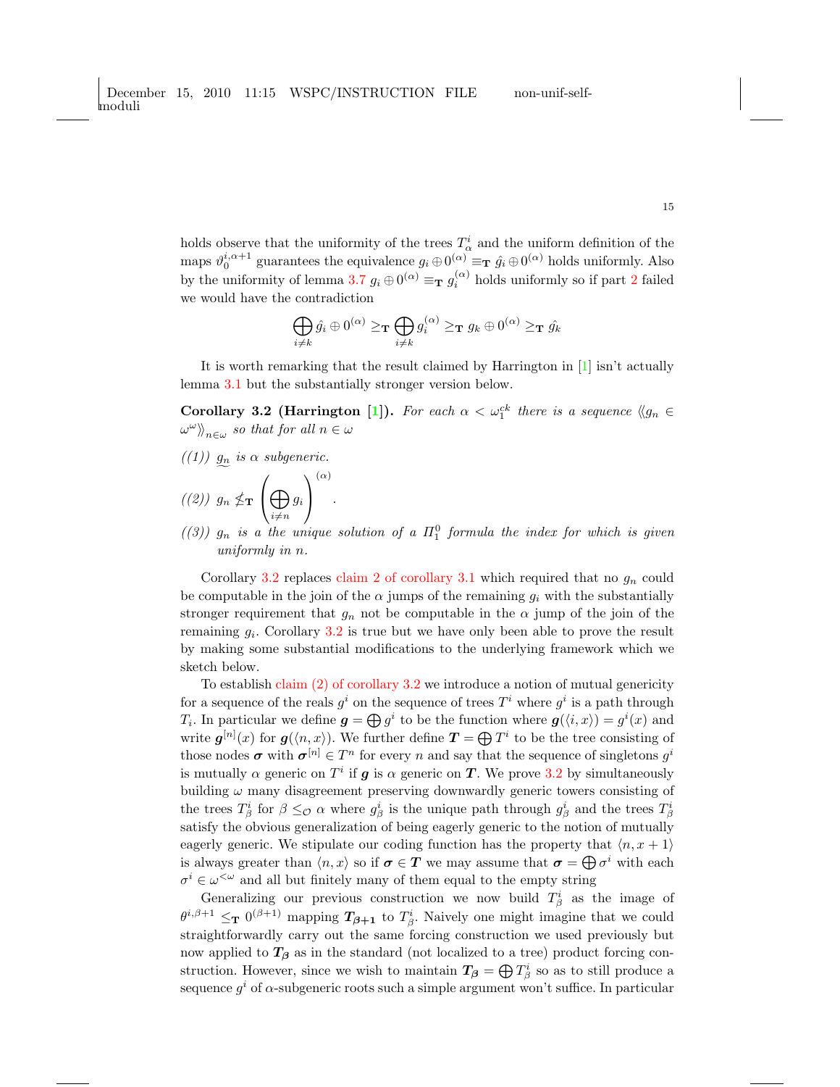holds observe that the uniformity of the trees  $T^i_\alpha$  and the uniform definition of the maps  $\vartheta_0^{i,\alpha+1}$  guarantees the equivalence  $g_i \oplus 0^{(\alpha)} \equiv_{\mathbf{T}} \hat{g}_i \oplus 0^{(\alpha)}$  holds uniformly. Also by the uniformity of lemma [3.7](#page-10-2)  $g_i \oplus 0^{(\alpha)} \equiv_{\mathbf{T}} g_i^{(\alpha)}$  holds uniformly so if part [2](#page-5-0) failed we would have the contradiction

$$
\bigoplus_{i \neq k} \hat{g}_i \oplus 0^{(\alpha)} \geq_{\mathbf{T}} \bigoplus_{i \neq k} g_i^{(\alpha)} \geq_{\mathbf{T}} g_k \oplus 0^{(\alpha)} \geq_{\mathbf{T}} \hat{g}_k
$$

It is worth remarking that the result claimed by Harrington in [\[1\]](#page-25-0) isn't actually lemma [3.1](#page-2-2) but the substantially stronger version below.

<span id="page-14-0"></span>**Corollary 3.2 (Harrington [\[1\]](#page-25-0)).** For each  $\alpha < \omega_1^{ck}$  there is a sequence  $\langle \zeta_{n} \rangle \in$  $\omega^{\omega}\rangle\!\rangle_{n\in\omega}$  so that for all  $n\in\omega$ 

 $((1))$   $g_n$  is  $\alpha$  subgeneric.

<span id="page-14-1"></span>
$$
((2)) g_n \nleq \mathbf{T} \left( \bigoplus_{i \neq n} g_i \right)^{(\alpha)}
$$

.

 $((3))$   $g_n$  is a the unique solution of a  $\Pi_1^0$  formula the index for which is given uniformly in  $n$ .

Corollary [3.2](#page-14-0) replaces [claim 2 of corollary 3.1](#page-5-0) which required that no  $g_n$  could be computable in the join of the  $\alpha$  jumps of the remaining  $g_i$  with the substantially stronger requirement that  $g_n$  not be computable in the  $\alpha$  jump of the join of the remaining  $g_i$ . Corollary [3.2](#page-14-0) is true but we have only been able to prove the result by making some substantial modifications to the underlying framework which we sketch below.

To establish [claim \(2\) of corollary 3.2](#page-14-1) we introduce a notion of mutual genericity for a sequence of the reals  $g^i$  on the sequence of trees  $T^i$  where  $g^i$  is a path through  $T_i$ . In particular we define  $g = \bigoplus g^i$  to be the function where  $g(\langle i, x \rangle) = g^i(x)$  and write  $g^{[n]}(x)$  for  $g(\langle n,x \rangle)$ . We further define  $T = \bigoplus T^i$  to be the tree consisting of those nodes  $\sigma$  with  $\sigma^{[n]} \in T^n$  for every n and say that the sequence of singletons  $g^i$ is mutually  $\alpha$  generic on  $T^i$  if  $g$  is  $\alpha$  generic on  $T$ . We prove [3.2](#page-14-0) by simultaneously building  $\omega$  many disagreement preserving downwardly generic towers consisting of the trees  $T^i_\beta$  for  $\beta \leq_{\mathcal{O}} \alpha$  where  $g^i_\beta$  is the unique path through  $g^i_\beta$  and the trees  $T^i_\beta$ satisfy the obvious generalization of being eagerly generic to the notion of mutually eagerly generic. We stipulate our coding function has the property that  $\langle n, x+1 \rangle$ is always greater than  $\langle n, x \rangle$  so if  $\sigma \in T$  we may assume that  $\sigma = \bigoplus \sigma^i$  with each  $\sigma^i \in \omega^{\leq \omega}$  and all but finitely many of them equal to the empty string

Generalizing our previous construction we now build  $T^i_\beta$  as the image of  $\theta^{i,\beta+1} \leq_T 0^{(\beta+1)}$  mapping  $T_{\beta+1}$  to  $T_{\beta}^i$ . Naively one might imagine that we could straightforwardly carry out the same forcing construction we used previously but now applied to  $T_{\beta}$  as in the standard (not localized to a tree) product forcing construction. However, since we wish to maintain  $T_{\beta} = \bigoplus T_{\beta}^{i}$  so as to still produce a sequence  $g^i$  of  $\alpha$ -subgeneric roots such a simple argument won't suffice. In particular

15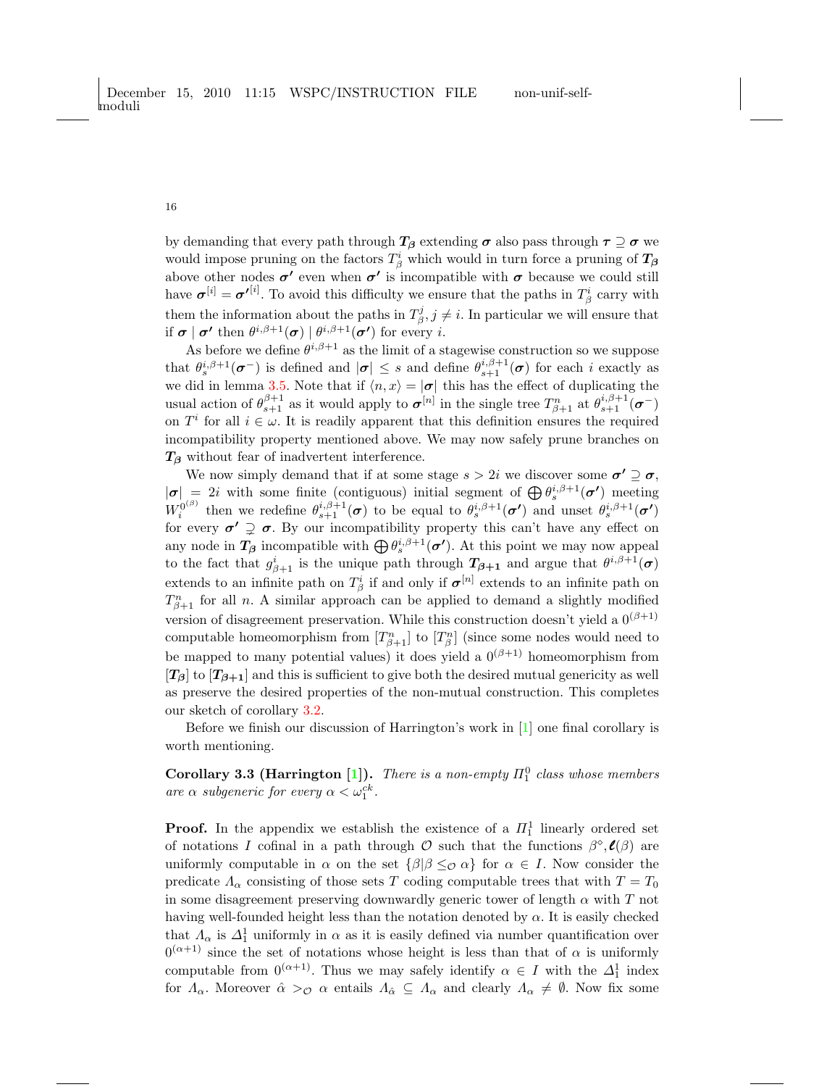by demanding that every path through  $T_\beta$  extending  $\sigma$  also pass through  $\tau \supseteq \sigma$  we would impose pruning on the factors  $T^i_\beta$  which would in turn force a pruning of  $T_\beta$ above other nodes  $\sigma'$  even when  $\sigma'$  is incompatible with  $\sigma$  because we could still have  $\sigma^{[i]} = {\sigma'}^{[i]}$ . To avoid this difficulty we ensure that the paths in  $T^i_\beta$  carry with them the information about the paths in  $T^j_\beta$ ,  $j \neq i$ . In particular we will ensure that if  $\boldsymbol{\sigma} \mid \boldsymbol{\sigma'}$  then  $\theta^{i,\beta+1}(\boldsymbol{\sigma}) \mid \theta^{i,\beta+1}(\boldsymbol{\sigma'})$  for every *i*.

As before we define  $\theta^{i,\beta+1}$  as the limit of a stagewise construction so we suppose that  $\theta_s^{i,\beta+1}(\sigma^-)$  is defined and  $|\sigma| \leq s$  and define  $\theta_{s+1}^{i,\beta+1}(\sigma)$  for each i exactly as we did in lemma [3.5.](#page-8-0) Note that if  $\langle n, x \rangle = |\sigma|$  this has the effect of duplicating the usual action of  $\theta_{s+1}^{\beta+1}$  as it would apply to  $\sigma^{[n]}$  in the single tree  $T_{\beta+1}^n$  at  $\theta_{s+1}^{i,\beta+1}(\sigma^-)$ on  $T^i$  for all  $i \in \omega$ . It is readily apparent that this definition ensures the required incompatibility property mentioned above. We may now safely prune branches on  $T_{\beta}$  without fear of inadvertent interference.

We now simply demand that if at some stage  $s > 2i$  we discover some  $\sigma' \supseteq \sigma$ ,  $|\sigma| = 2i$  with some finite (contiguous) initial segment of  $\bigoplus \theta_s^{i,\beta+1}(\sigma')$  meeting  $W_i^{0^{(\beta)}}$  then we redefine  $\theta_{s+1}^{i,\beta+1}(\sigma)$  to be equal to  $\theta_s^{i,\beta+1}(\sigma')$  and unset  $\theta_s^{i,\beta+1}(\sigma')$ for every  $\sigma' \supsetneq \sigma$ . By our incompatibility property this can't have any effect on any node in  $T_{\beta}$  incompatible with  $\bigoplus \theta_s^{i,\beta+1}(\sigma')$ . At this point we may now appeal to the fact that  $g_{\beta+1}^i$  is the unique path through  $T_{\beta+1}$  and argue that  $\theta^{i,\beta+1}(\sigma)$ extends to an infinite path on  $T^i_\beta$  if and only if  $\sigma^{[n]}$  extends to an infinite path on  $T_{\beta+1}^n$  for all n. A similar approach can be applied to demand a slightly modified version of disagreement preservation. While this construction doesn't yield a  $0^{(\beta+1)}$ computable homeomorphism from  $[T_{\beta+1}^n]$  to  $[T_{\beta}^n]$  (since some nodes would need to be mapped to many potential values) it does yield a  $0^{(\beta+1)}$  homeomorphism from  $[T_\beta]$  to  $[T_{\beta+1}]$  and this is sufficient to give both the desired mutual genericity as well as preserve the desired properties of the non-mutual construction. This completes our sketch of corollary [3.2.](#page-14-0)

Before we finish our discussion of Harrington's work in [\[1\]](#page-25-0) one final corollary is worth mentioning.

Corollary 3.3 (Harrington [\[1\]](#page-25-0)). There is a non-empty  $\Pi_1^0$  class whose members are  $\alpha$  subgeneric for every  $\alpha < \omega_1^{ck}$ .

**Proof.** In the appendix we establish the existence of a  $\Pi_1^1$  linearly ordered set of notations I cofinal in a path through  $\mathcal O$  such that the functions  $\beta^{\circ}, \ell(\beta)$  are uniformly computable in  $\alpha$  on the set  $\{\beta | \beta \leq_{\mathcal{O}} \alpha\}$  for  $\alpha \in I$ . Now consider the predicate  $\Lambda_{\alpha}$  consisting of those sets T coding computable trees that with  $T = T_0$ in some disagreement preserving downwardly generic tower of length  $\alpha$  with  $T$  not having well-founded height less than the notation denoted by  $\alpha$ . It is easily checked that  $\Lambda_{\alpha}$  is  $\Delta_1^1$  uniformly in  $\alpha$  as it is easily defined via number quantification over  $0^{(\alpha+1)}$  since the set of notations whose height is less than that of  $\alpha$  is uniformly computable from  $0^{(\alpha+1)}$ . Thus we may safely identify  $\alpha \in I$  with the  $\Delta_1^1$  index for  $\Lambda_{\alpha}$ . Moreover  $\hat{\alpha} >_{\mathcal{O}} \alpha$  entails  $\Lambda_{\hat{\alpha}} \subseteq \Lambda_{\alpha}$  and clearly  $\Lambda_{\alpha} \neq \emptyset$ . Now fix some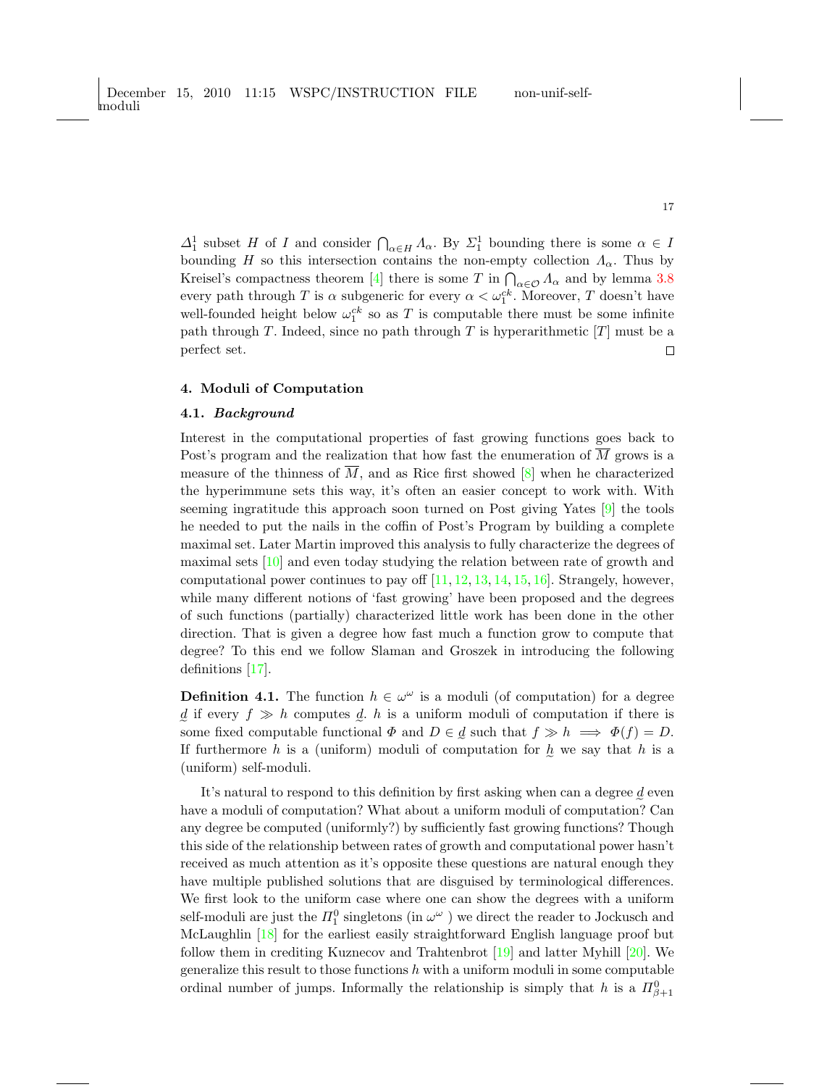$\Delta_1^1$  subset H of I and consider  $\bigcap_{\alpha \in H} A_\alpha$ . By  $\Sigma_1^1$  bounding there is some  $\alpha \in I$ bounding H so this intersection contains the non-empty collection  $\Lambda_{\alpha}$ . Thus by Kreisel's compactness theorem [\[4\]](#page-26-2) there is some T in  $\bigcap_{\alpha \in \mathcal{O}} A_{\alpha}$  and by lemma [3.8](#page-11-0) every path through T is  $\alpha$  subgeneric for every  $\alpha < \omega_1^{ck}$ . Moreover, T doesn't have well-founded height below  $\omega_1^{ck}$  so as T is computable there must be some infinite path through  $T$ . Indeed, since no path through  $T$  is hyperarithmetic  $[T]$  must be a perfect set.  $\Box$ 

# 4. Moduli of Computation

### 4.1. Background

Interest in the computational properties of fast growing functions goes back to Post's program and the realization that how fast the enumeration of  $\overline{M}$  grows is a measure of the thinness of  $\overline{M}$ , and as Rice first showed [\[8\]](#page-26-6) when he characterized the hyperimmune sets this way, it's often an easier concept to work with. With seeming ingratitude this approach soon turned on Post giving Yates [\[9\]](#page-26-7) the tools he needed to put the nails in the coffin of Post's Program by building a complete maximal set. Later Martin improved this analysis to fully characterize the degrees of maximal sets [\[10\]](#page-26-8) and even today studying the relation between rate of growth and computational power continues to pay off  $[11, 12, 13, 14, 15, 16]$  $[11, 12, 13, 14, 15, 16]$  $[11, 12, 13, 14, 15, 16]$  $[11, 12, 13, 14, 15, 16]$  $[11, 12, 13, 14, 15, 16]$  $[11, 12, 13, 14, 15, 16]$  $[11, 12, 13, 14, 15, 16]$  $[11, 12, 13, 14, 15, 16]$  $[11, 12, 13, 14, 15, 16]$  $[11, 12, 13, 14, 15, 16]$  $[11, 12, 13, 14, 15, 16]$ . Strangely, however, while many different notions of 'fast growing' have been proposed and the degrees of such functions (partially) characterized little work has been done in the other direction. That is given a degree how fast much a function grow to compute that degree? To this end we follow Slaman and Groszek in introducing the following definitions [\[17\]](#page-26-15).

**Definition 4.1.** The function  $h \in \omega^{\omega}$  is a moduli (of computation) for a degree d if every  $f \gg h$  computes d, h is a uniform moduli of computation if there is some fixed computable functional  $\Phi$  and  $D \in \underline{d}$  such that  $f \gg h \implies \Phi(f) = D$ . If furthermore  $h$  is a (uniform) moduli of computation for  $\underline{h}$  we say that  $h$  is a (uniform) self-moduli.

It's natural to respond to this definition by first asking when can a degree  $\underline{d}$  even have a moduli of computation? What about a uniform moduli of computation? Can any degree be computed (uniformly?) by sufficiently fast growing functions? Though this side of the relationship between rates of growth and computational power hasn't received as much attention as it's opposite these questions are natural enough they have multiple published solutions that are disguised by terminological differences. We first look to the uniform case where one can show the degrees with a uniform self-moduli are just the  $\Pi^0_1$  singletons (in  $\omega^\omega$ ) we direct the reader to Jockusch and McLaughlin [\[18\]](#page-26-16) for the earliest easily straightforward English language proof but follow them in crediting Kuznecov and Trahtenbrot [\[19\]](#page-26-17) and latter Myhill [\[20\]](#page-26-18). We generalize this result to those functions  $h$  with a uniform moduli in some computable ordinal number of jumps. Informally the relationship is simply that h is a  $\Pi_{\beta+1}^0$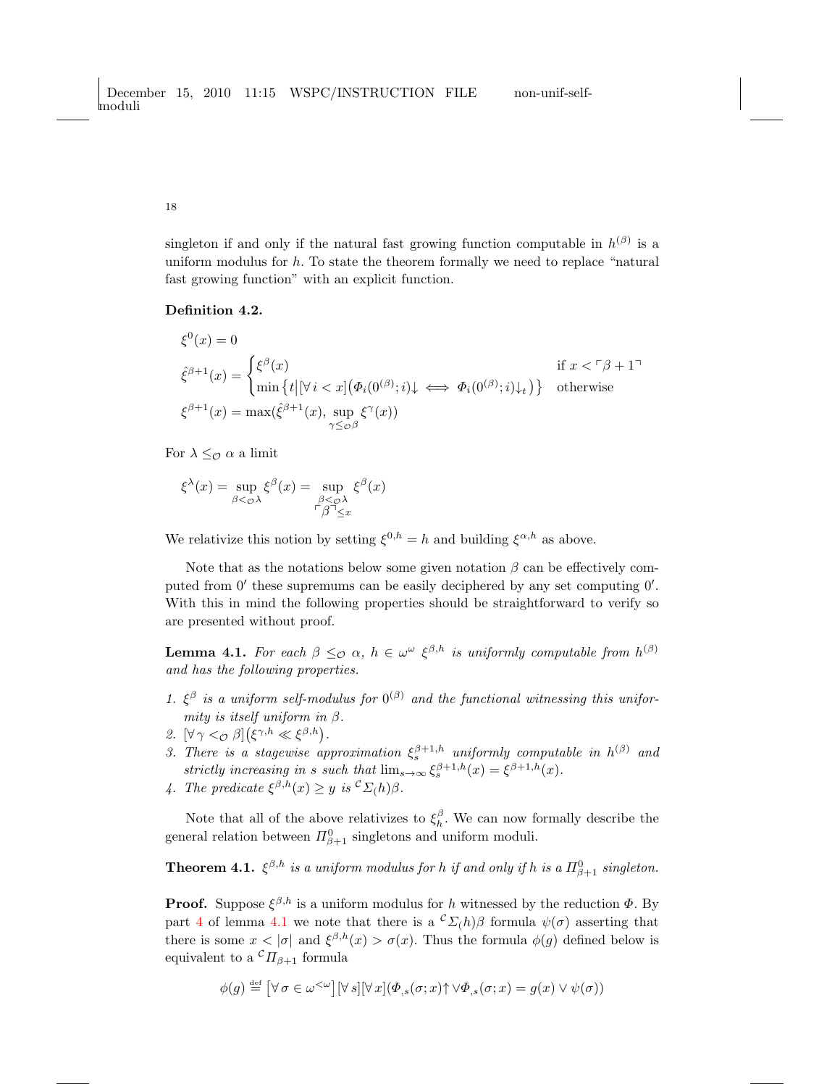singleton if and only if the natural fast growing function computable in  $h^{(\beta)}$  is a uniform modulus for  $h$ . To state the theorem formally we need to replace "natural" fast growing function" with an explicit function.

## Definition 4.2.

$$
\xi^0(x) = 0
$$
\n
$$
\hat{\xi}^{\beta+1}(x) = \begin{cases}\n\xi^{\beta}(x) & \text{if } x < \lceil \beta + 1 \rceil \\
\min \{t | [\forall i < x] (\Phi_i(0^{(\beta)}; i) \downarrow \iff \Phi_i(0^{(\beta)}; i) \downarrow_t) \} & \text{otherwise}\n\end{cases}
$$
\n
$$
\xi^{\beta+1}(x) = \max(\hat{\xi}^{\beta+1}(x), \sup_{\gamma \le \sigma \beta} \xi^{\gamma}(x))
$$

For  $\lambda \leq_{\mathcal{O}} \alpha$  a limit

$$
\xi^{\lambda}(x) = \sup_{\beta < \phi \lambda} \xi^{\beta}(x) = \sup_{\substack{\beta < \phi \lambda \\ \cap \beta \supseteq x}} \xi^{\beta}(x)
$$

We relativize this notion by setting  $\xi^{0,h} = h$  and building  $\xi^{\alpha,h}$  as above.

Note that as the notations below some given notation  $\beta$  can be effectively computed from 0' these supremums can be easily deciphered by any set computing 0'. With this in mind the following properties should be straightforward to verify so are presented without proof.

**Lemma 4.1.** For each  $\beta \leq_{\mathcal{O}} \alpha$ ,  $h \in \omega^{\omega} \xi^{\beta,h}$  is uniformly computable from  $h^{(\beta)}$ and has the following properties.

- <span id="page-17-0"></span>1.  $\xi^{\beta}$  is a uniform self-modulus for  $0^{(\beta)}$  and the functional witnessing this uniformity is itself uniform in  $\beta$ .
- 2.  $[\forall \gamma <_{\mathcal{O}} \beta](\xi^{\gamma,h} \ll \xi^{\beta,h}).$
- 3. There is a stagewise approximation  $\xi_s^{\beta+1,h}$  uniformly computable in  $h^{(\beta)}$  and strictly increasing in s such that  $\lim_{s\to\infty} \xi_s^{\beta+1,h}(x) = \xi^{\beta+1,h}(x)$ .
- 4. The predicate  $\xi^{\beta,h}(x) \geq y$  is  ${}^{\mathcal{C}}\Sigma(h)\beta$ .

Note that all of the above relativizes to  $\xi_h^{\beta}$ . We can now formally describe the general relation between  $\Pi_{\beta+1}^0$  singletons and uniform moduli.

**Theorem 4.1.**  $\xi^{\beta,h}$  is a uniform modulus for h if and only if h is a  $\Pi_{\beta+1}^0$  singleton.

**Proof.** Suppose  $\xi^{\beta,h}$  is a uniform modulus for h witnessed by the reduction  $\Phi$ . By part [4](#page-17-0) of lemma [4.1](#page-5-2) we note that there is a  ${}^{\mathcal{C}}\Sigma(h)\beta$  formula  $\psi(\sigma)$  asserting that there is some  $x < |\sigma|$  and  $\xi^{\beta,h}(x) > \sigma(x)$ . Thus the formula  $\phi(g)$  defined below is equivalent to a  ${}^{\mathcal{C}}\Pi_{\beta+1}$  formula

$$
\phi(g) \stackrel{\text{def}}{=} \left[ \forall \, \sigma \in \omega^{< \omega} \right] [\forall \, s] [\forall \, x] (\Phi_{,s}(\sigma; x) \uparrow \vee \Phi_{,s}(\sigma; x) = g(x) \vee \psi(\sigma))
$$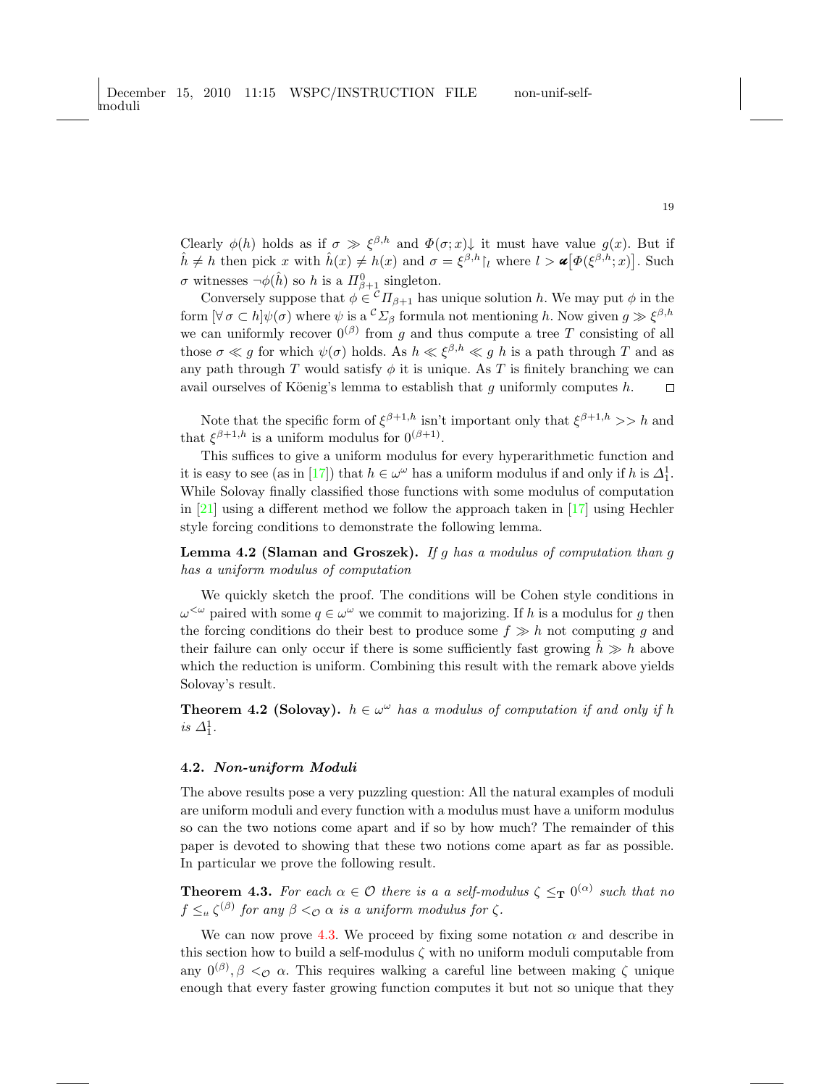Clearly  $\phi(h)$  holds as if  $\sigma \gg \xi^{\beta,h}$  and  $\Phi(\sigma; x) \downarrow$  it must have value  $g(x)$ . But if  $\hat{h} \neq h$  then pick x with  $\hat{h}(x) \neq h(x)$  and  $\sigma = \xi^{\beta,h} \upharpoonright_l$  where  $l > \alpha \left[ \Phi(\xi^{\beta,h};x) \right]$ . Such  $\sigma$  witnesses  $\neg \phi(\hat{h})$  so  $h$  is a  $\Pi_{\beta+1}^0$  singleton.

Conversely suppose that  $\phi \in {}^{\mathcal{C}}\Pi_{\beta+1}$  has unique solution h. We may put  $\phi$  in the form  $[\forall \sigma \subset h] \psi(\sigma)$  where  $\psi$  is a  ${}^c\Sigma_\beta$  formula not mentioning h. Now given  $g \gg \xi^{\beta,h}$ we can uniformly recover  $0^{(\beta)}$  from g and thus compute a tree T consisting of all those  $\sigma \ll g$  for which  $\psi(\sigma)$  holds. As  $h \ll \xi^{\beta,h} \ll g h$  is a path through T and as any path through  $T$  would satisfy  $\phi$  it is unique. As  $T$  is finitely branching we can avail ourselves of Köenig's lemma to establish that q uniformly computes  $h$ .  $\Box$ 

Note that the specific form of  $\xi^{\beta+1,h}$  isn't important only that  $\xi^{\beta+1,h} >> h$  and that  $\xi^{\beta+1,h}$  is a uniform modulus for  $0^{(\beta+1)}$ .

This suffices to give a uniform modulus for every hyperarithmetic function and it is easy to see (as in [\[17\]](#page-26-15)) that  $h \in \omega^{\omega}$  has a uniform modulus if and only if h is  $\Delta_1^1$ . While Solovay finally classified those functions with some modulus of computation in  $[21]$  using a different method we follow the approach taken in  $[17]$  using Hechler style forcing conditions to demonstrate the following lemma.

Lemma 4.2 (Slaman and Groszek). If  $g$  has a modulus of computation than  $g$ has a uniform modulus of computation

We quickly sketch the proof. The conditions will be Cohen style conditions in  $\omega^{\leq \omega}$  paired with some  $q \in \omega^{\omega}$  we commit to majorizing. If h is a modulus for g then the forcing conditions do their best to produce some  $f \gg h$  not computing g and their failure can only occur if there is some sufficiently fast growing  $h \gg h$  above which the reduction is uniform. Combining this result with the remark above yields Solovay's result.

**Theorem 4.2 (Solovay).**  $h \in \omega^{\omega}$  has a modulus of computation if and only if h is  $\Delta_1^1$ .

# 4.2. Non-uniform Moduli

The above results pose a very puzzling question: All the natural examples of moduli are uniform moduli and every function with a modulus must have a uniform modulus so can the two notions come apart and if so by how much? The remainder of this paper is devoted to showing that these two notions come apart as far as possible. In particular we prove the following result.

<span id="page-18-0"></span>**Theorem 4.3.** For each  $\alpha \in \mathcal{O}$  there is a a self-modulus  $\zeta \leq_T 0^{(\alpha)}$  such that no  $f \leq_{tt} \zeta^{(\beta)}$  for any  $\beta <_{\mathcal{O}} \alpha$  is a uniform modulus for  $\zeta$ .

We can now prove [4.3.](#page-18-0) We proceed by fixing some notation  $\alpha$  and describe in this section how to build a self-modulus  $\zeta$  with no uniform moduli computable from any  $0^{(\beta)}$ ,  $\beta <_{\mathcal{O}} \alpha$ . This requires walking a careful line between making  $\zeta$  unique enough that every faster growing function computes it but not so unique that they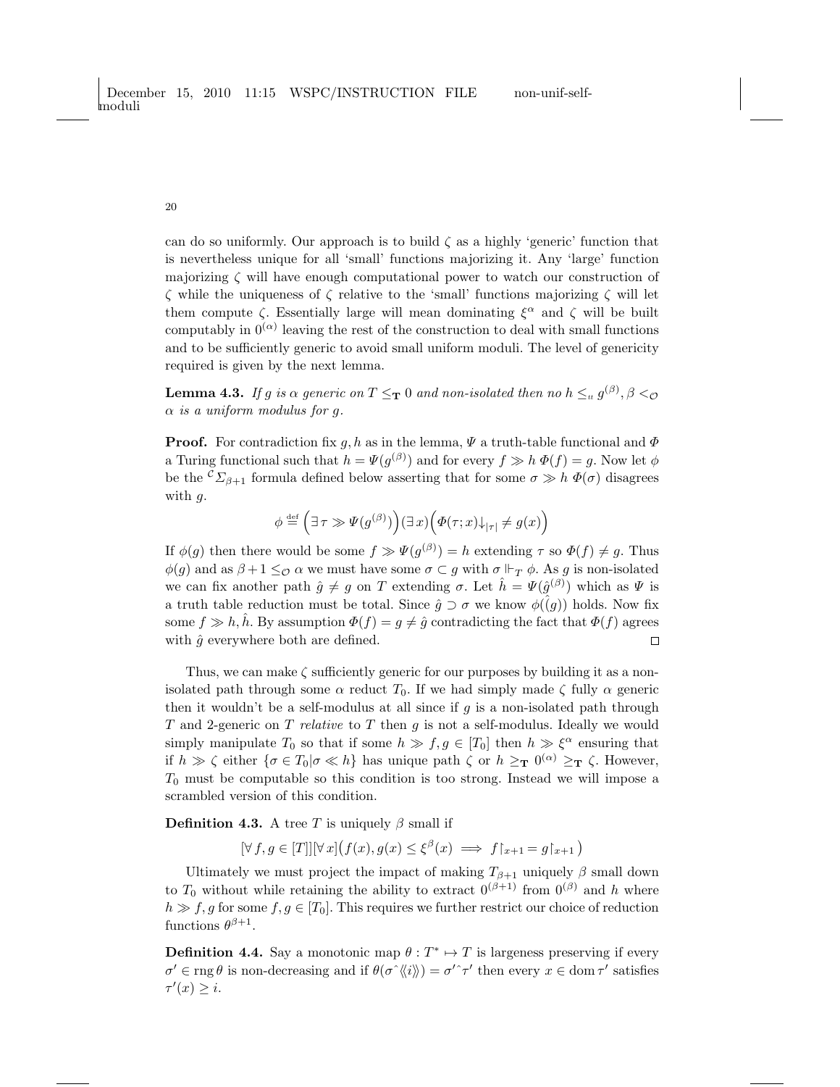can do so uniformly. Our approach is to build  $\zeta$  as a highly 'generic' function that is nevertheless unique for all 'small' functions majorizing it. Any 'large' function majorizing  $\zeta$  will have enough computational power to watch our construction of  $\zeta$  while the uniqueness of  $\zeta$  relative to the 'small' functions majorizing  $\zeta$  will let them compute  $\zeta$ . Essentially large will mean dominating  $\xi^{\alpha}$  and  $\zeta$  will be built computably in  $0^{(\alpha)}$  leaving the rest of the construction to deal with small functions and to be sufficiently generic to avoid small uniform moduli. The level of genericity required is given by the next lemma.

**Lemma 4.3.** If g is  $\alpha$  generic on  $T \leq_{\bf T} 0$  and non-isolated then no  $h \leq_{\alpha} g^{(\beta)}, \beta <_{\cal O}$  $\alpha$  is a uniform modulus for q.

**Proof.** For contradiction fix g, h as in the lemma,  $\Psi$  a truth-table functional and  $\Phi$ a Turing functional such that  $h = \Psi(g^{(\beta)})$  and for every  $f \gg h \Phi(f) = g$ . Now let  $\phi$ be the  ${}^c\Sigma_{\beta+1}$  formula defined below asserting that for some  $\sigma \gg h \Phi(\sigma)$  disagrees with  $q$ .

$$
\phi \stackrel{\text{\tiny def}}{=} \Big(\exists \, \tau \gg \varPsi(g^{(\beta)}) \Big) (\exists \, x) \Big( \varPhi(\tau;x) {\downarrow}_{|\tau|} \neq g(x) \Big)
$$

If  $\phi(g)$  then there would be some  $f \gg \Psi(g^{(\beta)}) = h$  extending  $\tau$  so  $\Phi(f) \neq g$ . Thus  $\phi(g)$  and as  $\beta + 1 \leq_{\mathcal{O}} \alpha$  we must have some  $\sigma \subset g$  with  $\sigma \Vdash_{\mathcal{T}} \phi$ . As g is non-isolated we can fix another path  $\hat{g} \neq g$  on T extending  $\sigma$ . Let  $\hat{h} = \Psi(\hat{g}^{(\beta)})$  which as  $\Psi$  is a truth table reduction must be total. Since  $\hat{g} \supset \sigma$  we know  $\phi(\hat{g})$  holds. Now fix some  $f \gg h, h$ . By assumption  $\Phi(f) = g \neq \hat{g}$  contradicting the fact that  $\Phi(f)$  agrees with  $\hat{g}$  everywhere both are defined.  $\Box$ 

Thus, we can make  $\zeta$  sufficiently generic for our purposes by building it as a nonisolated path through some  $\alpha$  reduct  $T_0$ . If we had simply made  $\zeta$  fully  $\alpha$  generic then it wouldn't be a self-modulus at all since if  $g$  is a non-isolated path through  $T$  and 2-generic on  $T$  relative to  $T$  then  $g$  is not a self-modulus. Ideally we would simply manipulate  $T_0$  so that if some  $h \gg f, g \in [T_0]$  then  $h \gg \xi^{\alpha}$  ensuring that if  $h \gg \zeta$  either  $\{\sigma \in T_0 | \sigma \ll h\}$  has unique path  $\zeta$  or  $h \geq_{\mathbf{T}} 0^{(\alpha)} \geq_{\mathbf{T}} \zeta$ . However,  $T_0$  must be computable so this condition is too strong. Instead we will impose a scrambled version of this condition.

**Definition 4.3.** A tree T is uniquely  $\beta$  small if

$$
[\forall f, g \in [T]] [\forall x] (f(x), g(x) \le \xi^{\beta}(x) \implies f|_{x+1} = g|_{x+1})
$$

Ultimately we must project the impact of making  $T_{\beta+1}$  uniquely  $\beta$  small down to  $T_0$  without while retaining the ability to extract  $0^{(\beta+1)}$  from  $0^{(\beta)}$  and h where  $h \gg f, g$  for some  $f, g \in [T_0]$ . This requires we further restrict our choice of reduction functions  $\theta^{\beta+1}$ .

**Definition 4.4.** Say a monotonic map  $\theta : T^* \to T$  is largeness preserving if every  $\sigma' \in \text{rng}\,\theta$  is non-decreasing and if  $\theta(\sigma \langle \langle i \rangle \rangle) = \sigma' \gamma'$  then every  $x \in \text{dom}\,\tau'$  satisfies  $\tau'(x) \geq i.$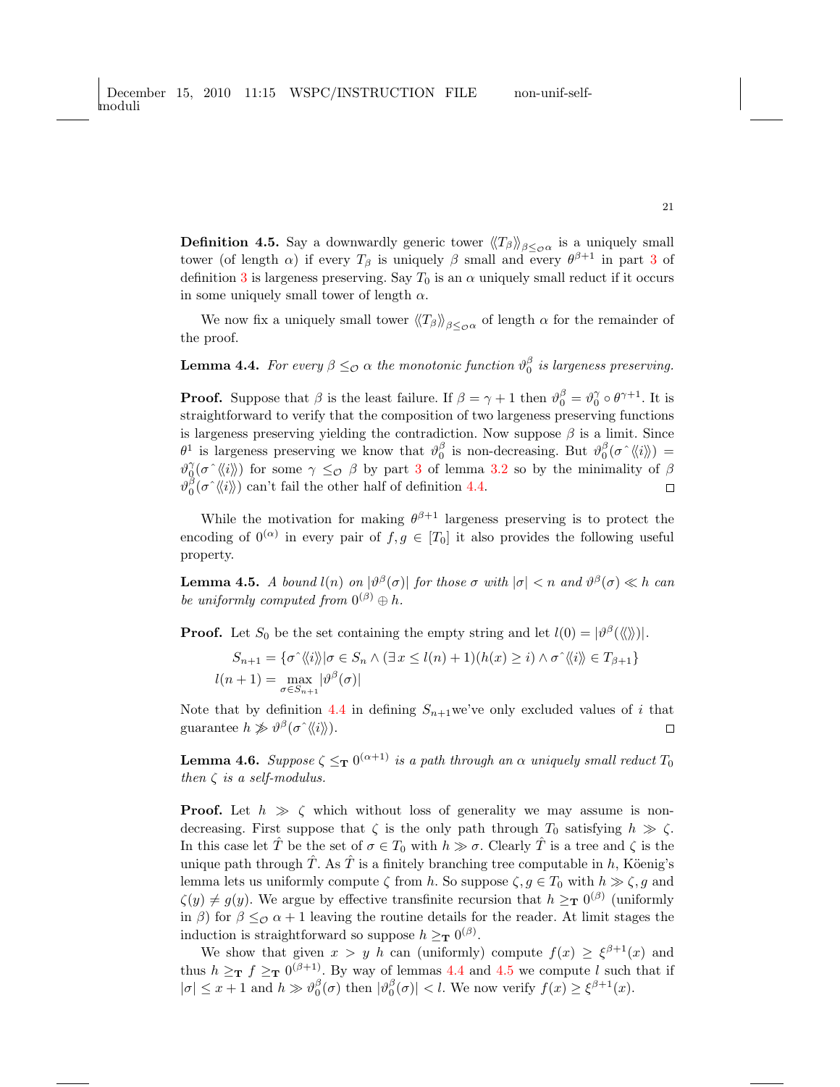**Definition 4.5.** Say a downwardly generic tower  $\langle\langle T_{\beta}\rangle\rangle_{\beta\leq_{\mathcal{O}}\alpha}$  is a uniquely small tower (of length  $\alpha$ ) if every  $T_{\beta}$  is uniquely  $\beta$  small and every  $\theta^{\beta+1}$  in part [3](#page-5-0) of definition [3](#page-5-0) is largeness preserving. Say  $T_0$  is an  $\alpha$  uniquely small reduct if it occurs in some uniquely small tower of length  $\alpha$ .

We now fix a uniquely small tower  $\langle\!\langle T_\beta\rangle\!\rangle_{\beta \leq c\alpha}$  of length  $\alpha$  for the remainder of the proof.

**Lemma 4.4.** For every  $\beta \leq_{\mathcal{O}} \alpha$  the monotonic function  $\vartheta_0^{\beta}$  is largeness preserving.

**Proof.** Suppose that  $\beta$  is the least failure. If  $\beta = \gamma + 1$  then  $\vartheta_0^{\beta} = \vartheta_0^{\gamma} \circ \theta^{\gamma+1}$ . It is straightforward to verify that the composition of two largeness preserving functions is largeness preserving yielding the contradiction. Now suppose  $\beta$  is a limit. Since  $\theta^1$  is largeness preserving we know that  $\theta_0^\beta$  is non-decreasing. But  $\theta_0^\beta(\sigma \hat{\langle} \langle i \rangle \rangle) =$  $\vartheta_0^{\gamma}(\sigma \hat{\langle} \langle i \rangle \rangle)$  for some  $\gamma \leq_{\mathcal{O}} \beta$  by part [3](#page-5-0) of lemma [3.2](#page-6-0) so by the minimality of  $\beta$  $\vartheta_0^{\beta}(\sigma \hat{\;} \langle \langle i \rangle \rangle)$  can't fail the other half of definition [4.4.](#page-6-1)  $\Box$ 

While the motivation for making  $\theta^{\beta+1}$  largeness preserving is to protect the encoding of  $0^{(\alpha)}$  in every pair of  $f, g \in [T_0]$  it also provides the following useful property.

**Lemma 4.5.** A bound  $l(n)$  on  $|\vartheta^{\beta}(\sigma)|$  for those  $\sigma$  with  $|\sigma| < n$  and  $\vartheta^{\beta}(\sigma) \ll h$  can be uniformly computed from  $0^{(\beta)} \oplus h$ .

**Proof.** Let  $S_0$  be the set containing the empty string and let  $l(0) = |\vartheta^{\beta}(\langle\langle\rangle)|$ .

$$
S_{n+1} = \{ \sigma^{\hat{}} \langle \langle i \rangle \rangle | \sigma \in S_n \land (\exists x \le l(n) + 1) (h(x) \ge i) \land \sigma^{\hat{}} \langle \langle i \rangle \rangle \in T_{\beta+1} \}
$$
  

$$
l(n+1) = \max_{\sigma \in S_{n+1}} |\vartheta^{\beta}(\sigma)|
$$

Note that by definition [4.4](#page-6-1) in defining  $S_{n+1}$  we've only excluded values of *i* that guarantee  $h \not\gg \vartheta^{\beta}(\sigma \hat{\langle} \langle i \rangle \rangle).$  $\Box$ 

**Lemma 4.6.** Suppose  $\zeta \leq_T 0^{(\alpha+1)}$  is a path through an  $\alpha$  uniquely small reduct  $T_0$ then  $\zeta$  is a self-modulus.

**Proof.** Let  $h \gg \zeta$  which without loss of generality we may assume is nondecreasing. First suppose that  $\zeta$  is the only path through  $T_0$  satisfying  $h \gg \zeta$ . In this case let  $\hat{T}$  be the set of  $\sigma \in T_0$  with  $h \gg \sigma$ . Clearly  $\hat{T}$  is a tree and  $\zeta$  is the unique path through  $\hat{T}$ . As  $\hat{T}$  is a finitely branching tree computable in h, Köenig's lemma lets us uniformly compute  $\zeta$  from h. So suppose  $\zeta, g \in T_0$  with  $h \gg \zeta, g$  and  $\zeta(y) \neq g(y)$ . We argue by effective transfinite recursion that  $h \geq_T 0^{(\beta)}$  (uniformly in  $\beta$ ) for  $\beta \leq_{\mathcal{O}} \alpha + 1$  leaving the routine details for the reader. At limit stages the induction is straightforward so suppose  $h \geq_{\mathbf{T}} 0^{(\beta)}$ .

We show that given  $x > y$  h can (uniformly) compute  $f(x) \geq \xi^{\beta+1}(x)$  and thus  $h \geq_T f \geq_T 0^{(\beta+1)}$ . By way of lemmas [4.4](#page-7-1) and [4.5](#page-8-0) we compute l such that if  $|\sigma| \leq x + 1$  and  $h \gg \vartheta_0^{\beta}(\sigma)$  then  $|\vartheta_0^{\beta}(\sigma)| < l$ . We now verify  $f(x) \geq \xi^{\beta+1}(x)$ .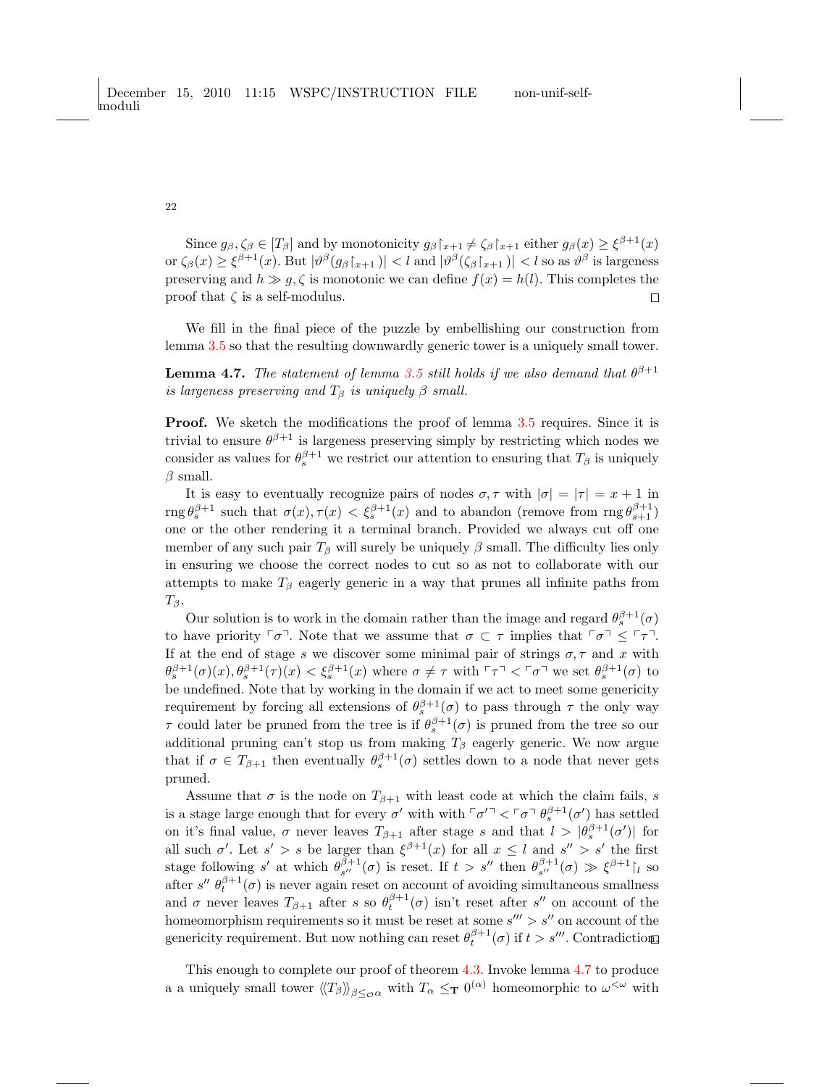Since  $g_{\beta}, \zeta_{\beta} \in [T_{\beta}]$  and by monotonicity  $g_{\beta} \upharpoonright_{x+1} \neq \zeta_{\beta} \upharpoonright_{x+1}$  either  $g_{\beta}(x) \geq \xi^{\beta+1}(x)$ or  $\zeta_{\beta}(x) \geq \xi^{\beta+1}(x)$ . But  $|\vartheta^{\beta}(g_{\beta}|_{x+1})| < l$  and  $|\vartheta^{\beta}(\zeta_{\beta}|_{x+1})| < l$  so as  $\vartheta^{\beta}$  is largeness preserving and  $h \gg g$ ,  $\zeta$  is monotonic we can define  $f(x) = h(l)$ . This completes the proof that  $\zeta$  is a self-modulus.  $\Box$ 

We fill in the final piece of the puzzle by embellishing our construction from lemma [3.5](#page-8-0) so that the resulting downwardly generic tower is a uniquely small tower.

**Lemma 4.7.** The statement of lemma [3.5](#page-8-0) still holds if we also demand that  $\theta^{\beta+1}$ is largeness preserving and  $T_{\beta}$  is uniquely  $\beta$  small.

**Proof.** We sketch the modifications the proof of lemma [3.5](#page-8-0) requires. Since it is trivial to ensure  $\theta^{\beta+1}$  is largeness preserving simply by restricting which nodes we consider as values for  $\theta_s^{\beta+1}$  we restrict our attention to ensuring that  $T_\beta$  is uniquely  $\beta$  small.

It is easy to eventually recognize pairs of nodes  $\sigma, \tau$  with  $|\sigma| = |\tau| = x + 1$  in  $\arg \theta_s^{\beta+1}$  such that  $\sigma(x), \tau(x) < \xi_s^{\beta+1}(x)$  and to abandon (remove from  $\arg \theta_{s+1}^{\beta+1}(x)$ ) one or the other rendering it a terminal branch. Provided we always cut off one member of any such pair  $T_\beta$  will surely be uniquely  $\beta$  small. The difficulty lies only in ensuring we choose the correct nodes to cut so as not to collaborate with our attempts to make  $T_{\beta}$  eagerly generic in a way that prunes all infinite paths from  $T_{\beta}$ .

Our solution is to work in the domain rather than the image and regard  $\theta_s^{\beta+1}(\sigma)$ to have priority  $\lceil \sigma \rceil$ . Note that we assume that  $\sigma \subset \tau$  implies that  $\lceil \sigma \rceil \leq \lceil \tau \rceil$ . If at the end of stage s we discover some minimal pair of strings  $\sigma$ ,  $\tau$  and x with  $\theta_s^{\beta+1}(\sigma)(x), \theta_s^{\beta+1}(\tau)(x) < \xi_s^{\beta+1}(x)$  where  $\sigma \neq \tau$  with  $\lceil \tau \rceil < \lceil \sigma \rceil$  we set  $\theta_s^{\beta+1}(\sigma)$  to be undefined. Note that by working in the domain if we act to meet some genericity requirement by forcing all extensions of  $\theta_s^{\beta+1}(\sigma)$  to pass through  $\tau$  the only way  $\tau$  could later be pruned from the tree is if  $\theta_s^{\beta+1}(\sigma)$  is pruned from the tree so our additional pruning can't stop us from making  $T_\beta$  eagerly generic. We now argue that if  $\sigma \in T_{\beta+1}$  then eventually  $\theta_s^{\beta+1}(\sigma)$  settles down to a node that never gets pruned.

Assume that  $\sigma$  is the node on  $T_{\beta+1}$  with least code at which the claim fails, s is a stage large enough that for every  $\sigma'$  with with  $\lceil \sigma'^{-} \rceil < \lceil \sigma \rceil \theta_s^{\beta+1}(\sigma')$  has settled on it's final value,  $\sigma$  never leaves  $T_{\beta+1}$  after stage s and that  $l > |\theta_s^{\beta+1}(\sigma')|$  for all such  $\sigma'$ . Let  $s' > s$  be larger than  $\xi^{\beta+1}(x)$  for all  $x \leq l$  and  $s'' > s'$  the first stage following s' at which  $\theta_{s'}^{\beta+1}(\sigma)$  is reset. If  $t > s''$  then  $\theta_{s''}^{\beta+1}(\sigma) \gg \xi^{\beta+1}$  so after  $s'' \theta_t^{\beta+1}(\sigma)$  is never again reset on account of avoiding simultaneous smallness and  $\sigma$  never leaves  $T_{\beta+1}$  after s so  $\theta_t^{\beta+1}(\sigma)$  isn't reset after s'' on account of the homeomorphism requirements so it must be reset at some  $s''' > s''$  on account of the genericity requirement. But now nothing can reset  $\theta_t^{\beta+1}(\sigma)$  if  $t > s'''$ . Contradiction.

This enough to complete our proof of theorem [4.3.](#page-18-0) Invoke lemma [4.7](#page-10-2) to produce a a uniquely small tower  $\langle T_\beta \rangle_{\beta \leq c \alpha}$  with  $T_\alpha \leq_T 0^{(\alpha)}$  homeomorphic to  $\omega^{\leq \omega}$  with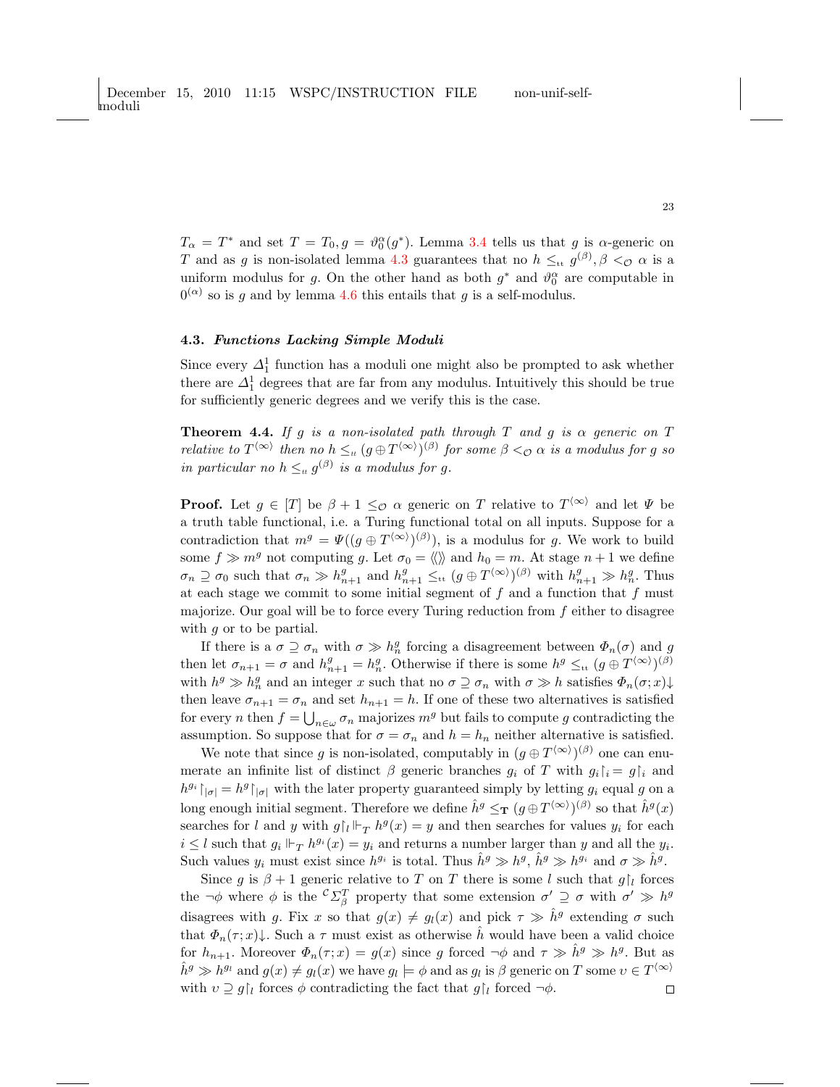$T_{\alpha} = T^*$  and set  $T = T_0, g = \vartheta_0^{\alpha}(g^*)$ . Lemma [3.4](#page-7-1) tells us that g is  $\alpha$ -generic on T and as g is non-isolated lemma [4.3](#page-7-0) guarantees that no  $h \leq_{tt} g^{(\beta)}, \beta <_{\mathcal{O}} \alpha$  is a uniform modulus for g. On the other hand as both  $g^*$  and  $\vartheta_0^{\alpha}$  are computable in  $0^{(\alpha)}$  so is g and by lemma [4.6](#page-9-0) this entails that g is a self-modulus.

# 4.3. Functions Lacking Simple Moduli

Since every  $\Delta_1^1$  function has a moduli one might also be prompted to ask whether there are  $\Delta_1^1$  degrees that are far from any modulus. Intuitively this should be true for sufficiently generic degrees and we verify this is the case.

**Theorem 4.4.** If g is a non-isolated path through  $T$  and  $g$  is  $\alpha$  generic on  $T$ relative to  $T^{\langle \infty \rangle}$  then no  $h \leq_{tt} (g \oplus T^{\langle \infty \rangle})^{(\beta)}$  for some  $\beta <_{\mathcal{O}} \alpha$  is a modulus for g so in particular no  $h \leq_{tt} g^{(\beta)}$  is a modulus for g.

**Proof.** Let  $g \in [T]$  be  $\beta + 1 \leq_{\mathcal{O}} \alpha$  generic on T relative to  $T^{\langle \infty \rangle}$  and let  $\Psi$  be a truth table functional, i.e. a Turing functional total on all inputs. Suppose for a contradiction that  $m^g = \Psi((g \oplus T^{\langle \infty \rangle})^{(\beta)})$ , is a modulus for g. We work to build some  $f \gg m^g$  not computing g. Let  $\sigma_0 = \langle \langle \rangle \rangle$  and  $h_0 = m$ . At stage  $n+1$  we define  $\sigma_n \supseteq \sigma_0$  such that  $\sigma_n \gg h_{n+1}^g$  and  $h_{n+1}^g \leq_{\text{tt}} (g \oplus T^{\langle \infty \rangle})^{(\beta)}$  with  $h_{n+1}^g \gg h_n^g$ . Thus at each stage we commit to some initial segment of  $f$  and a function that  $f$  must majorize. Our goal will be to force every Turing reduction from  $f$  either to disagree with  $q$  or to be partial.

If there is a  $\sigma \supseteq \sigma_n$  with  $\sigma \gg h_n^g$  forcing a disagreement between  $\Phi_n(\sigma)$  and g then let  $\sigma_{n+1} = \sigma$  and  $h_{n+1}^g = h_n^g$ . Otherwise if there is some  $h^g \leq_{\text{tt}} (g \oplus T^{\langle \infty \rangle})^{(\beta)}$ with  $h^g \gg h_n^g$  and an integer x such that no  $\sigma \supseteq \sigma_n$  with  $\sigma \gg h$  satisfies  $\Phi_n(\sigma; x) \downarrow$ then leave  $\sigma_{n+1} = \sigma_n$  and set  $h_{n+1} = h$ . If one of these two alternatives is satisfied for every *n* then  $f = \bigcup_{n \in \omega} \sigma_n$  majorizes  $m^g$  but fails to compute g contradicting the assumption. So suppose that for  $\sigma = \sigma_n$  and  $h = h_n$  neither alternative is satisfied.

We note that since g is non-isolated, computably in  $(g \oplus T^{\langle \infty \rangle})^{(\beta)}$  one can enumerate an infinite list of distinct  $\beta$  generic branches  $g_i$  of T with  $g_i|_{i} = g|_{i}$  and  $h^{g_i}|_{|\sigma|} = h^g|_{|\sigma|}$  with the later property guaranteed simply by letting  $g_i$  equal g on a long enough initial segment. Therefore we define  $\hat{h}^g \leq_{\mathbf{T}} (g \oplus T^{(\infty)} )^{(\beta)}$  so that  $\hat{h}^g(x)$ searches for l and y with  $g|_{l} \Vdash_{T} h^{g}(x) = y$  and then searches for values  $y_{i}$  for each  $i \leq l$  such that  $g_i \Vdash_T h^{g_i}(x) = y_i$  and returns a number larger than y and all the  $y_i$ . Such values  $y_i$  must exist since  $h^{g_i}$  is total. Thus  $\hat{h}^g \gg h^g$ ,  $\hat{h}^g \gg h^{g_i}$  and  $\sigma \gg \hat{h}^g$ .

Since g is  $\beta + 1$  generic relative to T on T there is some l such that  $g|_l$  forces the  $\neg \phi$  where  $\phi$  is the  ${}^c\Sigma^T_\beta$  property that some extension  $\sigma' \supseteq \sigma$  with  $\sigma' \gg h^g$ disagrees with g. Fix x so that  $g(x) \neq g_l(x)$  and pick  $\tau \gg \hat{h}^g$  extending  $\sigma$  such that  $\Phi_n(\tau; x) \downarrow$ . Such a  $\tau$  must exist as otherwise  $\hat{h}$  would have been a valid choice for  $h_{n+1}$ . Moreover  $\Phi_n(\tau; x) = g(x)$  since g forced  $\neg \phi$  and  $\tau \gg \hat{h}^g \gg h^g$ . But as  $\hat{h}^g \gg h^{gi}$  and  $g(x) \neq g_l(x)$  we have  $g_l \models \phi$  and as  $g_l$  is  $\beta$  generic on T some  $v \in T^{\langle \infty \rangle}$ with  $v \supseteq g|_l$  forces  $\phi$  contradicting the fact that  $g|_l$  forced  $\neg \phi$ .  $\Box$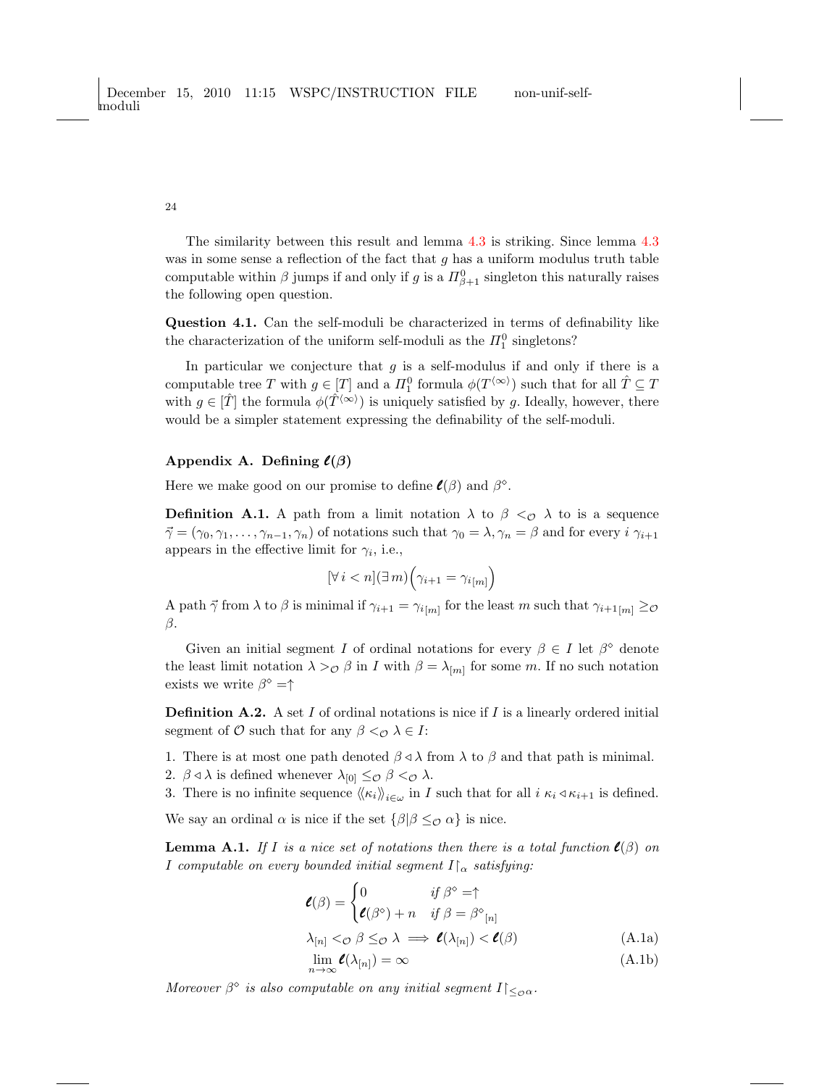The similarity between this result and lemma [4.3](#page-7-0) is striking. Since lemma [4.3](#page-7-0) was in some sense a reflection of the fact that  $g$  has a uniform modulus truth table computable within  $\beta$  jumps if and only if  $g$  is a  $\Pi_{\beta+1}^0$  singleton this naturally raises the following open question.

Question 4.1. Can the self-moduli be characterized in terms of definability like the characterization of the uniform self-moduli as the  $\Pi_1^0$  singletons?

In particular we conjecture that  $g$  is a self-modulus if and only if there is a computable tree T with  $g \in [T]$  and a  $\Pi_1^0$  formula  $\phi(T^{\langle \infty \rangle})$  such that for all  $\hat{T} \subseteq T$ with  $g \in [\hat{T}]$  the formula  $\phi(\hat{T}^{(\infty)})$  is uniquely satisfied by g. Ideally, however, there would be a simpler statement expressing the definability of the self-moduli.

# <span id="page-23-0"></span>Appendix A. Defining  $\ell(\beta)$

Here we make good on our promise to define  $\ell(\beta)$  and  $\beta^{\circ}$ .

**Definition A.1.** A path from a limit notation  $\lambda$  to  $\beta <_{\mathcal{O}} \lambda$  to is a sequence  $\vec{\gamma} = (\gamma_0, \gamma_1, \ldots, \gamma_{n-1}, \gamma_n)$  of notations such that  $\gamma_0 = \lambda, \gamma_n = \beta$  and for every  $i \gamma_{i+1}$ appears in the effective limit for  $\gamma_i$ , i.e.,

$$
[\forall i < n] (\exists \, m) \Big( \gamma_{i+1} = \gamma_{i \, [m]} \Big)
$$

A path  $\vec{\gamma}$  from  $\lambda$  to  $\beta$  is minimal if  $\gamma_{i+1} = \gamma_{i[m]}$  for the least m such that  $\gamma_{i+1[m]} \geq \beta$  $\beta.$ 

Given an initial segment I of ordinal notations for every  $\beta \in I$  let  $\beta^{\circ}$  denote the least limit notation  $\lambda >_{\mathcal{O}} \beta$  in I with  $\beta = \lambda_{[m]}$  for some m. If no such notation exists we write  $\beta^{\diamond} = \uparrow$ 

**Definition A.2.** A set I of ordinal notations is nice if I is a linearly ordered initial segment of  $\mathcal O$  such that for any  $\beta <_{\mathcal O} \lambda \in I$ :

1. There is at most one path denoted  $\beta \triangleleft \lambda$  from  $\lambda$  to  $\beta$  and that path is minimal.

2.  $\beta \triangleleft \lambda$  is defined whenever  $\lambda_{[0]} \leq_{\mathcal{O}} \beta \leq_{\mathcal{O}} \lambda$ .

3. There is no infinite sequence  $\langle\langle \kappa_i \rangle\rangle_{i \in \omega}$  in I such that for all  $i \kappa_i \triangleleft \kappa_{i+1}$  is defined.

We say an ordinal  $\alpha$  is nice if the set  $\{\beta | \beta \leq_{\mathcal{O}} \alpha\}$  is nice.

**Lemma A.1.** If I is a nice set of notations then there is a total function  $\ell(\beta)$  on *I* computable on every bounded initial segment  $I\upharpoonright_{\alpha}$  satisfying:

$$
\boldsymbol{\ell}(\beta) = \begin{cases} 0 & \text{if } \beta^{\circ} = \uparrow \\ \boldsymbol{\ell}(\beta^{\circ}) + n & \text{if } \beta = \beta^{\circ}[n] \end{cases}
$$

$$
\lambda_{[n]} < \varphi \beta \leq \varphi \lambda \implies \boldsymbol{\ell}(\lambda_{[n]}) < \boldsymbol{\ell}(\beta)
$$
(A.1a)

<span id="page-23-2"></span><span id="page-23-1"></span>
$$
\lim_{n \to \infty} \ell(\lambda_{[n]}) = \infty \tag{A.1b}
$$

Moreover  $\beta^{\diamond}$  is also computable on any initial segment  $I|_{\leq \infty \alpha}$ .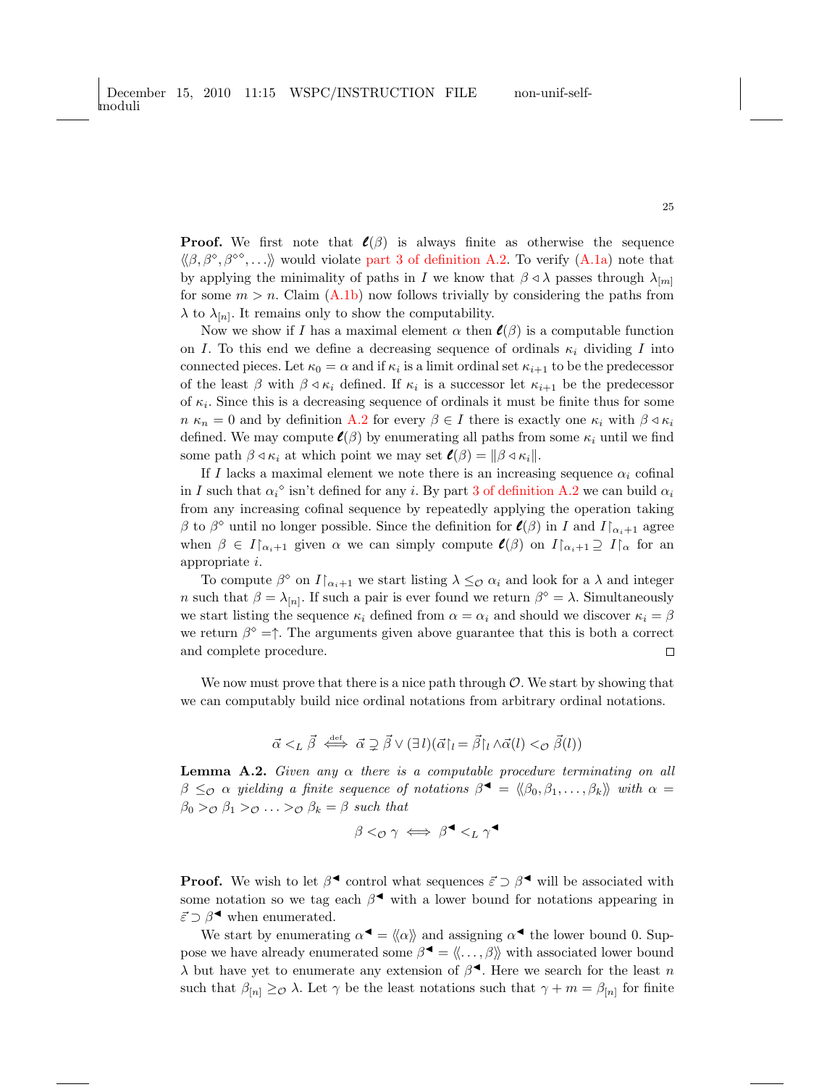**Proof.** We first note that  $\ell(\beta)$  is always finite as otherwise the sequence  $\langle \beta, \beta^{\circ}, \beta^{\circ}, \ldots \rangle$  would violate [part 3 of definition A.2.](#page-17-0) To verify [\(A.1a\)](#page-23-1) note that by applying the minimality of paths in I we know that  $\beta \triangleleft \lambda$  passes through  $\lambda_{[m]}$ for some  $m > n$ . Claim [\(A.1b\)](#page-23-2) now follows trivially by considering the paths from  $\lambda$  to  $\lambda_{[n]}$ . It remains only to show the computability.

Now we show if *I* has a maximal element  $\alpha$  then  $\ell(\beta)$  is a computable function on I. To this end we define a decreasing sequence of ordinals  $\kappa_i$  dividing I into connected pieces. Let  $\kappa_0 = \alpha$  and if  $\kappa_i$  is a limit ordinal set  $\kappa_{i+1}$  to be the predecessor of the least  $\beta$  with  $\beta \triangleleft \kappa_i$  defined. If  $\kappa_i$  is a successor let  $\kappa_{i+1}$  be the predecessor of  $\kappa_i$ . Since this is a decreasing sequence of ordinals it must be finite thus for some  $n \kappa_n = 0$  and by definition [A.2](#page-5-3) for every  $\beta \in I$  there is exactly one  $\kappa_i$  with  $\beta \triangleleft \kappa_i$ defined. We may compute  $\ell(\beta)$  by enumerating all paths from some  $\kappa_i$  until we find some path  $\beta \triangleleft \kappa_i$  at which point we may set  $\ell(\beta) = ||\beta \triangleleft \kappa_i||$ .

If I lacks a maximal element we note there is an increasing sequence  $\alpha_i$  cofinal in I such that  $\alpha_i^{\diamond}$  isn't defined for any *i*. By part [3 of definition A.2](#page-17-0) we can build  $\alpha_i$ from any increasing cofinal sequence by repeatedly applying the operation taking  $\beta$  to  $\beta^{\circ}$  until no longer possible. Since the definition for  $\ell(\beta)$  in *I* and  $I|_{\alpha_i+1}$  agree when  $\beta \in I\vert_{\alpha_{i+1}}$  given  $\alpha$  we can simply compute  $\ell(\beta)$  on  $I\vert_{\alpha_{i+1}} \supseteq I\vert_{\alpha}$  for an appropriate  $i$ .

To compute  $\beta^{\diamond}$  on  $I\upharpoonright_{\alpha_i+1}$  we start listing  $\lambda \leq_{\mathcal{O}} \alpha_i$  and look for a  $\lambda$  and integer *n* such that  $\beta = \lambda_{[n]}$ . If such a pair is ever found we return  $\beta^{\circ} = \lambda$ . Simultaneously we start listing the sequence  $\kappa_i$  defined from  $\alpha = \alpha_i$  and should we discover  $\kappa_i = \beta$ we return  $\beta^{\circ} = \uparrow$ . The arguments given above guarantee that this is both a correct and complete procedure.  $\Box$ 

We now must prove that there is a nice path through  $\mathcal O$ . We start by showing that we can computably build nice ordinal notations from arbitrary ordinal notations.

$$
\vec{\alpha} <_{\mathcal{L}} \vec{\beta} \iff \vec{\alpha} \supsetneq \vec{\beta} \lor (\exists l)(\vec{\alpha}\upharpoonright_{l} = \vec{\beta}\upharpoonright_{l} \land \vec{\alpha}\langle l) <_{\mathcal{O}} \vec{\beta}\langle l\rangle)
$$

**Lemma A.2.** Given any  $\alpha$  there is a computable procedure terminating on all  $\beta \leq_{\mathcal{O}} \alpha$  yielding a finite sequence of notations  $\beta^{\blacktriangleleft} = \langle \beta_0, \beta_1, \ldots, \beta_k \rangle \rangle$  with  $\alpha =$  $\beta_0 >_{\mathcal{O}} \beta_1 >_{\mathcal{O}} \ldots >_{\mathcal{O}} \beta_k = \beta$  such that

$$
\beta <_{\mathcal{O}} \gamma \iff \beta^{\blacktriangleleft} <_{L} \gamma^{\blacktriangleleft}
$$

**Proof.** We wish to let  $\beta^{\blacktriangleleft}$  control what sequences  $\vec{\varepsilon} \supset \beta^{\blacktriangleleft}$  will be associated with some notation so we tag each  $\beta^{\blacktriangleleft}$  with a lower bound for notations appearing in  $\vec{\varepsilon}$  ⊃  $\beta$ <sup> when enumerated.</sup>

We start by enumerating  $\alpha^{\blacktriangleleft} = \langle \alpha \rangle$  and assigning  $\alpha^{\blacktriangleleft}$  the lower bound 0. Suppose we have already enumerated some  $\beta^{\blacktriangleleft} = \langle \langle \dots, \beta \rangle \rangle$  with associated lower bound  $\lambda$  but have yet to enumerate any extension of  $\beta^{\blacktriangleleft}$ . Here we search for the least n such that  $\beta_{[n]} \geq_{\mathcal{O}} \lambda$ . Let  $\gamma$  be the least notations such that  $\gamma + m = \beta_{[n]}$  for finite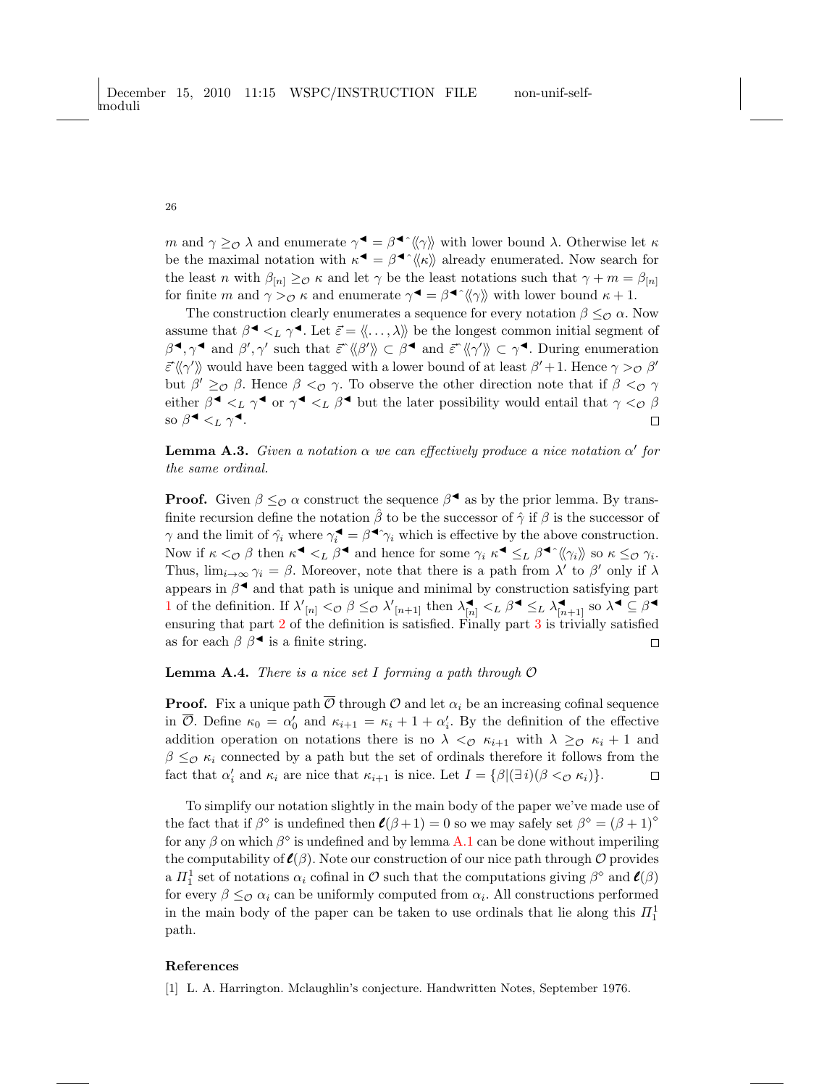m and  $\gamma \geq_{\mathcal{O}} \lambda$  and enumerate  $\gamma^{\blacktriangleleft} = \beta^{\blacktriangleleft} \langle \langle \gamma \rangle \rangle$  with lower bound  $\lambda$ . Otherwise let  $\kappa$ be the maximal notation with  $\kappa^{\blacktriangleleft} = \beta^{\blacktriangleleft} \langle \langle \kappa \rangle \rangle$  already enumerated. Now search for the least *n* with  $\beta_{[n]} \geq_{\mathcal{O}} \kappa$  and let  $\gamma$  be the least notations such that  $\gamma + m = \beta_{[n]}$ for finite m and  $\gamma >_{\mathcal{O}} \kappa$  and enumerate  $\gamma^{\blacktriangleleft} = \beta^{\blacktriangleleft} \langle \! \langle \gamma \rangle \! \rangle$  with lower bound  $\kappa + 1$ .

The construction clearly enumerates a sequence for every notation  $\beta \leq_{\mathcal{O}} \alpha$ . Now assume that  $\beta^{\blacktriangleleft} <_L \gamma^{\blacktriangleleft}$ . Let  $\vec{\varepsilon} = \langle \langle \dots, \lambda \rangle \rangle$  be the longest common initial segment of  $\beta^{\blacktriangleleft}, \gamma^{\blacktriangleleft}$  and  $\beta', \gamma'$  such that  $\vec{\varepsilon}^{\gamma} \langle \beta' \rangle \rangle \subset \beta^{\blacktriangleleft}$  and  $\vec{\varepsilon}^{\gamma} \langle \gamma' \rangle \rangle \subset \gamma^{\blacktriangleleft}$ . During enumeration  $\vec{\varepsilon}\langle\langle \gamma'\rangle\rangle$  would have been tagged with a lower bound of at least  $\beta'+1$ . Hence  $\gamma >_{\mathcal{O}} \beta'$ but  $\beta' \geq_{\mathcal{O}} \beta$ . Hence  $\beta <_{\mathcal{O}} \gamma$ . To observe the other direction note that if  $\beta <_{\mathcal{O}} \gamma$ either  $\beta^{\blacktriangleleft} <_L \gamma^{\blacktriangleleft}$  or  $\gamma^{\blacktriangleleft} <_L \beta^{\blacktriangleleft}$  but the later possibility would entail that  $\gamma <_{{\cal O}} \beta$ so  $\beta^{\blacktriangleleft} <_L \gamma^{\blacktriangleleft}$ .  $\Box$ 

**Lemma A.3.** Given a notation  $\alpha$  we can effectively produce a nice notation  $\alpha'$  for the same ordinal.

**Proof.** Given  $\beta \leq_{\mathcal{O}} \alpha$  construct the sequence  $\beta^{\blacktriangleleft}$  as by the prior lemma. By transfinite recursion define the notation  $\hat{\beta}$  to be the successor of  $\hat{\gamma}$  if  $\beta$  is the successor of  $\gamma$  and the limit of  $\hat{\gamma}_i$  where  $\gamma_i^{\blacktriangleleft} = \beta^{\blacktriangleleft} \hat{\gamma}_i$  which is effective by the above construction. Now if  $\kappa <_{\mathcal{O}} \beta$  then  $\kappa^{\blacktriangleleft} <_{L} \beta^{\blacktriangleleft}$  and hence for some  $\gamma_i \kappa^{\blacktriangleleft} \leq_{L} \beta^{\blacktriangleleft} \langle \gamma_i \rangle \rangle$  so  $\kappa \leq_{\mathcal{O}} \gamma_i$ . Thus,  $\lim_{i\to\infty}\gamma_i=\beta$ . Moreover, note that there is a path from  $\lambda'$  to  $\beta'$  only if  $\lambda$ appears in  $\beta^{\blacktriangleleft}$  and that path is unique and minimal by construction satisfying part [1](#page-17-0) of the definition. If  $\lambda'_{[n]} <_{\mathcal{O}} \beta \leq_{\mathcal{O}} \lambda'_{[n+1]}$  then  $\lambda_{[n]}^{\blacktriangleleft} <_{L} \beta^{\blacktriangleleft} \leq_{L} \lambda_{[n+1]}^{\blacktriangleleft}$  so  $\lambda^{\blacktriangleleft} \subseteq \beta^{\blacktriangleleft}$ ensuring that part [2](#page-17-0) of the definition is satisfied. Finally part [3](#page-17-0) is trivially satisfied as for each  $\beta$   $\beta$ <sup> $\blacktriangleleft$ </sup> is a finite string.  $\Box$ 

# **Lemma A.4.** There is a nice set I forming a path through  $\mathcal{O}$

**Proof.** Fix a unique path  $\overline{\mathcal{O}}$  through  $\mathcal{O}$  and let  $\alpha_i$  be an increasing cofinal sequence in  $\overline{O}$ . Define  $\kappa_0 = \alpha'_0$  and  $\kappa_{i+1} = \kappa_i + 1 + \alpha'_i$ . By the definition of the effective addition operation on notations there is no  $\lambda <_{\mathcal{O}} \kappa_{i+1}$  with  $\lambda \geq_{\mathcal{O}} \kappa_i + 1$  and  $\beta \leq_{\mathcal{O}} \kappa_i$  connected by a path but the set of ordinals therefore it follows from the fact that  $\alpha'_i$  and  $\kappa_i$  are nice that  $\kappa_{i+1}$  is nice. Let  $I = {\beta | (\exists i)(\beta <_{\mathcal{O}} \kappa_i)}$ .  $\Box$ 

To simplify our notation slightly in the main body of the paper we've made use of the fact that if  $\beta^{\diamond}$  is undefined then  $\ell(\beta+1) = 0$  so we may safely set  $\beta^{\diamond} = (\beta+1)^{\diamond}$ for any  $\beta$  on which  $\beta^{\diamond}$  is undefined and by lemma [A.1](#page-5-2) can be done without imperiling the computability of  $\ell(\beta)$ . Note our construction of our nice path through  $\mathcal O$  provides a  $\Pi_1^1$  set of notations  $\alpha_i$  cofinal in  $\mathcal O$  such that the computations giving  $\beta^\diamond$  and  $\mathcal C(\beta)$ for every  $\beta \leq_{\mathcal{O}} \alpha_i$  can be uniformly computed from  $\alpha_i$ . All constructions performed in the main body of the paper can be taken to use ordinals that lie along this  $\Pi^1_1$ path.

#### References

<span id="page-25-0"></span>[1] L. A. Harrington. Mclaughlin's conjecture. Handwritten Notes, September 1976.